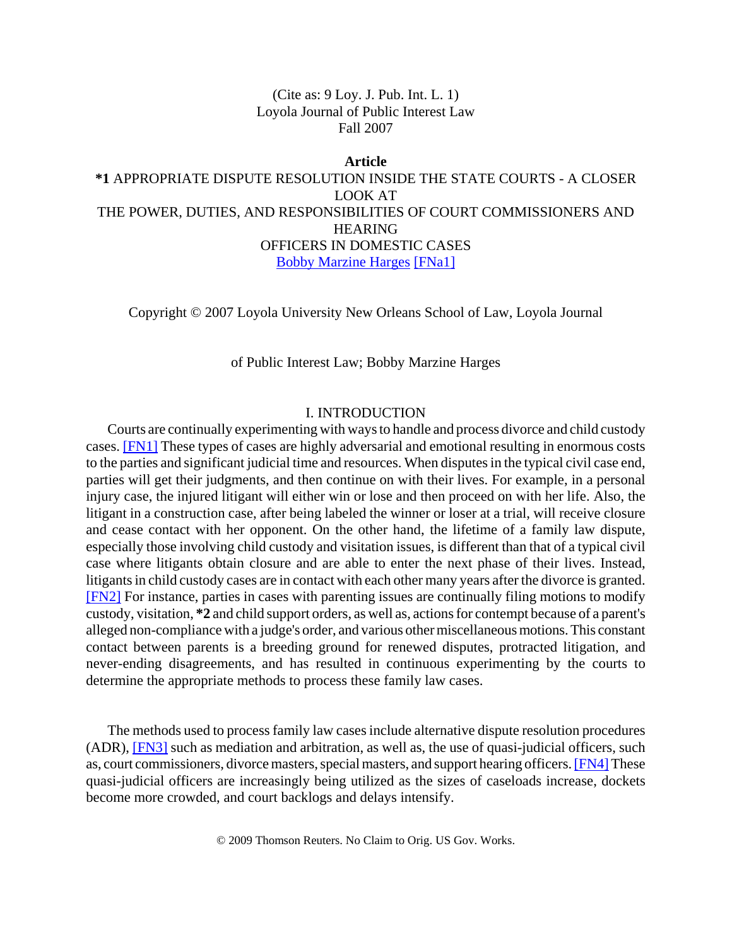(Cite as: 9 Loy. J. Pub. Int. L. 1) Loyola Journal of Public Interest Law Fall 2007

**Article \*1** APPROPRIATE DISPUTE RESOLUTION INSIDE THE STATE COURTS - A CLOSER LOOK AT THE POWER, DUTIES, AND RESPONSIBILITIES OF COURT COMMISSIONERS AND HEARING OFFICERS IN DOMESTIC CASES Bobby Marzine Harges [FNa1]

Copyright © 2007 Loyola University New Orleans School of Law, Loyola Journal

## of Public Interest Law; Bobby Marzine Harges

# I. INTRODUCTION

Courts are continually experimenting with ways to handle and process divorce and child custody cases. [FN1] These types of cases are highly adversarial and emotional resulting in enormous costs to the parties and significant judicial time and resources. When disputes in the typical civil case end, parties will get their judgments, and then continue on with their lives. For example, in a personal injury case, the injured litigant will either win or lose and then proceed on with her life. Also, the litigant in a construction case, after being labeled the winner or loser at a trial, will receive closure and cease contact with her opponent. On the other hand, the lifetime of a family law dispute, especially those involving child custody and visitation issues, is different than that of a typical civil case where litigants obtain closure and are able to enter the next phase of their lives. Instead, litigants in child custody cases are in contact with each other many years after the divorce is granted. [FN2] For instance, parties in cases with parenting issues are continually filing motions to modify custody, visitation, **\*2** and child support orders, as well as, actions for contempt because of a parent's alleged non-compliance with a judge's order, and various other miscellaneous motions. This constant contact between parents is a breeding ground for renewed disputes, protracted litigation, and never-ending disagreements, and has resulted in continuous experimenting by the courts to determine the appropriate methods to process these family law cases.

The methods used to process family law cases include alternative dispute resolution procedures (ADR), [FN3] such as mediation and arbitration, as well as, the use of quasi-judicial officers, such as, court commissioners, divorce masters, special masters, and support hearing officers. [FN4] These quasi-judicial officers are increasingly being utilized as the sizes of caseloads increase, dockets become more crowded, and court backlogs and delays intensify.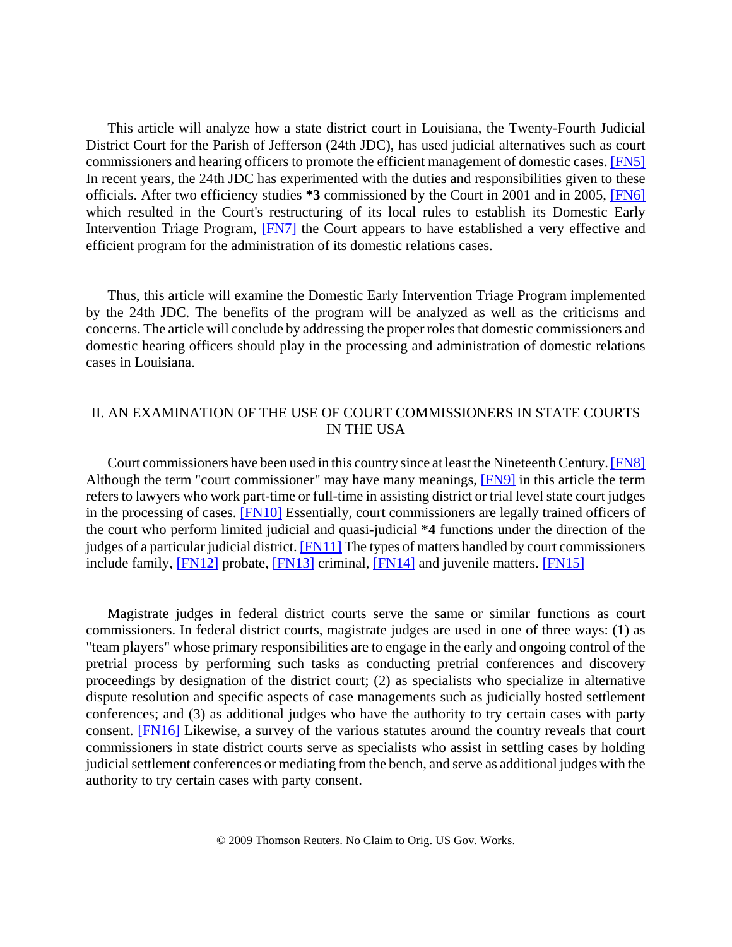This article will analyze how a state district court in Louisiana, the Twenty-Fourth Judicial District Court for the Parish of Jefferson (24th JDC), has used judicial alternatives such as court commissioners and hearing officers to promote the efficient management of domestic cases. [FN5] In recent years, the 24th JDC has experimented with the duties and responsibilities given to these officials. After two efficiency studies **\*3** commissioned by the Court in 2001 and in 2005, [FN6] which resulted in the Court's restructuring of its local rules to establish its Domestic Early Intervention Triage Program, [FN7] the Court appears to have established a very effective and efficient program for the administration of its domestic relations cases.

Thus, this article will examine the Domestic Early Intervention Triage Program implemented by the 24th JDC. The benefits of the program will be analyzed as well as the criticisms and concerns. The article will conclude by addressing the proper roles that domestic commissioners and domestic hearing officers should play in the processing and administration of domestic relations cases in Louisiana.

# II. AN EXAMINATION OF THE USE OF COURT COMMISSIONERS IN STATE COURTS IN THE USA

Court commissioners have been used in this country since at least the Nineteenth Century. [FN8] Although the term "court commissioner" may have many meanings, **[FN9]** in this article the term refers to lawyers who work part-time or full-time in assisting district or trial level state court judges in the processing of cases. [FN10] Essentially, court commissioners are legally trained officers of the court who perform limited judicial and quasi-judicial **\*4** functions under the direction of the judges of a particular judicial district. [FN11] The types of matters handled by court commissioners include family, [FN12] probate, [FN13] criminal, [FN14] and juvenile matters. [FN15]

Magistrate judges in federal district courts serve the same or similar functions as court commissioners. In federal district courts, magistrate judges are used in one of three ways: (1) as "team players" whose primary responsibilities are to engage in the early and ongoing control of the pretrial process by performing such tasks as conducting pretrial conferences and discovery proceedings by designation of the district court; (2) as specialists who specialize in alternative dispute resolution and specific aspects of case managements such as judicially hosted settlement conferences; and (3) as additional judges who have the authority to try certain cases with party consent. [FN16] Likewise, a survey of the various statutes around the country reveals that court commissioners in state district courts serve as specialists who assist in settling cases by holding judicial settlement conferences or mediating from the bench, and serve as additional judges with the authority to try certain cases with party consent.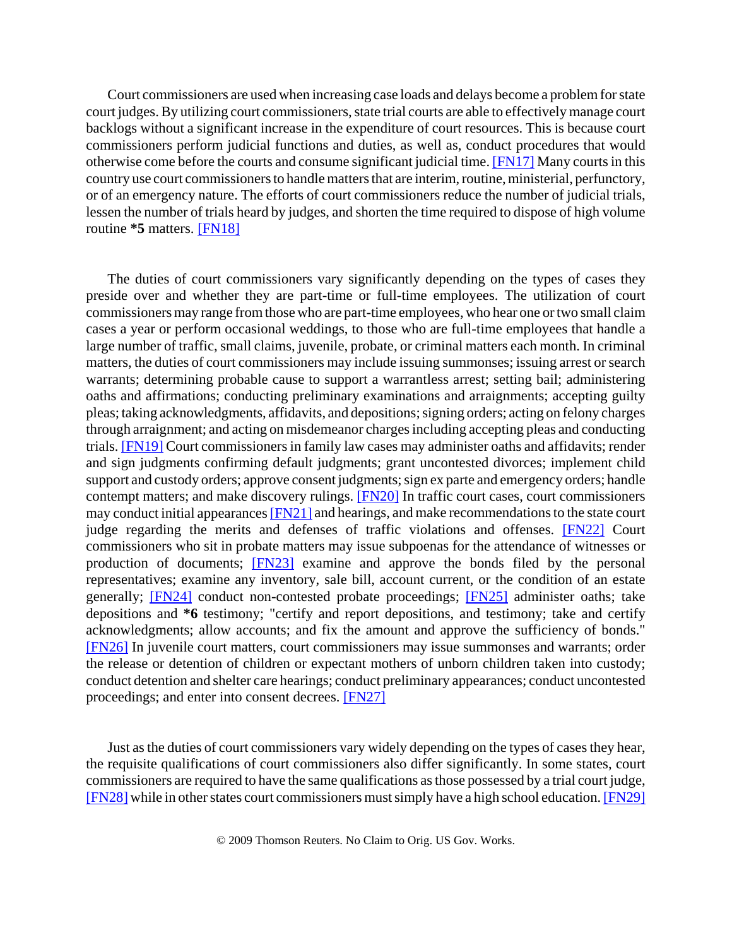Court commissioners are used when increasing case loads and delays become a problem for state court judges. By utilizing court commissioners, state trial courts are able to effectively manage court backlogs without a significant increase in the expenditure of court resources. This is because court commissioners perform judicial functions and duties, as well as, conduct procedures that would otherwise come before the courts and consume significant judicial time. [FN17] Many courts in this country use court commissioners to handle matters that are interim, routine, ministerial, perfunctory, or of an emergency nature. The efforts of court commissioners reduce the number of judicial trials, lessen the number of trials heard by judges, and shorten the time required to dispose of high volume routine **\*5** matters. [FN18]

The duties of court commissioners vary significantly depending on the types of cases they preside over and whether they are part-time or full-time employees. The utilization of court commissioners may range from those who are part-time employees, who hear one or two small claim cases a year or perform occasional weddings, to those who are full-time employees that handle a large number of traffic, small claims, juvenile, probate, or criminal matters each month. In criminal matters, the duties of court commissioners may include issuing summonses; issuing arrest or search warrants; determining probable cause to support a warrantless arrest; setting bail; administering oaths and affirmations; conducting preliminary examinations and arraignments; accepting guilty pleas; taking acknowledgments, affidavits, and depositions; signing orders; acting on felony charges through arraignment; and acting on misdemeanor charges including accepting pleas and conducting trials. [FN19] Court commissioners in family law cases may administer oaths and affidavits; render and sign judgments confirming default judgments; grant uncontested divorces; implement child support and custody orders; approve consent judgments; sign ex parte and emergency orders; handle contempt matters; and make discovery rulings. [FN20] In traffic court cases, court commissioners may conduct initial appearances [FN21] and hearings, and make recommendations to the state court judge regarding the merits and defenses of traffic violations and offenses. [FN22] Court commissioners who sit in probate matters may issue subpoenas for the attendance of witnesses or production of documents; [FN23] examine and approve the bonds filed by the personal representatives; examine any inventory, sale bill, account current, or the condition of an estate generally; [FN24] conduct non-contested probate proceedings; [FN25] administer oaths; take depositions and **\*6** testimony; "certify and report depositions, and testimony; take and certify acknowledgments; allow accounts; and fix the amount and approve the sufficiency of bonds." [FN26] In juvenile court matters, court commissioners may issue summonses and warrants; order the release or detention of children or expectant mothers of unborn children taken into custody; conduct detention and shelter care hearings; conduct preliminary appearances; conduct uncontested proceedings; and enter into consent decrees. [FN27]

Just as the duties of court commissioners vary widely depending on the types of cases they hear, the requisite qualifications of court commissioners also differ significantly. In some states, court commissioners are required to have the same qualifications as those possessed by a trial court judge, [FN28] while in other states court commissioners must simply have a high school education. [FN29]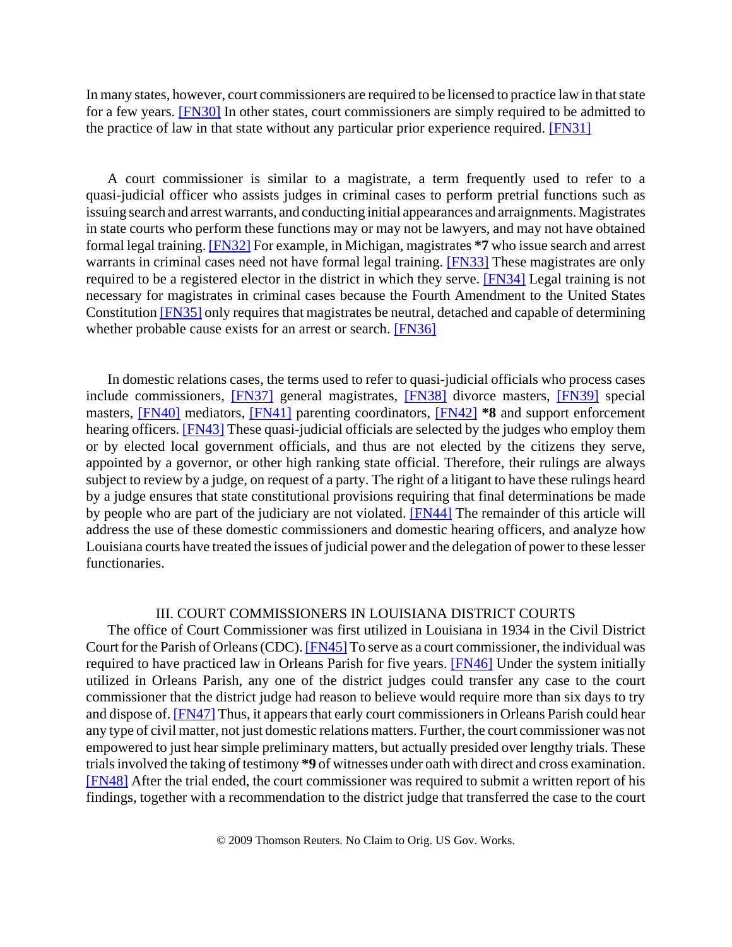In many states, however, court commissioners are required to be licensed to practice law in that state for a few years. [FN30] In other states, court commissioners are simply required to be admitted to the practice of law in that state without any particular prior experience required. [FN31]

A court commissioner is similar to a magistrate, a term frequently used to refer to a quasi-judicial officer who assists judges in criminal cases to perform pretrial functions such as issuing search and arrest warrants, and conducting initial appearances and arraignments. Magistrates in state courts who perform these functions may or may not be lawyers, and may not have obtained formal legal training. [FN32] For example, in Michigan, magistrates **\*7** who issue search and arrest warrants in criminal cases need not have formal legal training. [FN33] These magistrates are only required to be a registered elector in the district in which they serve. [FN34] Legal training is not necessary for magistrates in criminal cases because the Fourth Amendment to the United States Constitution [FN35] only requires that magistrates be neutral, detached and capable of determining whether probable cause exists for an arrest or search. **[FN36]** 

In domestic relations cases, the terms used to refer to quasi-judicial officials who process cases include commissioners, [FN37] general magistrates, [FN38] divorce masters, [FN39] special masters, [FN40] mediators, [FN41] parenting coordinators, [FN42] **\*8** and support enforcement hearing officers. [FN43] These quasi-judicial officials are selected by the judges who employ them or by elected local government officials, and thus are not elected by the citizens they serve, appointed by a governor, or other high ranking state official. Therefore, their rulings are always subject to review by a judge, on request of a party. The right of a litigant to have these rulings heard by a judge ensures that state constitutional provisions requiring that final determinations be made by people who are part of the judiciary are not violated. [FN44] The remainder of this article will address the use of these domestic commissioners and domestic hearing officers, and analyze how Louisiana courts have treated the issues of judicial power and the delegation of power to these lesser functionaries.

### III. COURT COMMISSIONERS IN LOUISIANA DISTRICT COURTS

The office of Court Commissioner was first utilized in Louisiana in 1934 in the Civil District Court for the Parish of Orleans (CDC). [FN45] To serve as a court commissioner, the individual was required to have practiced law in Orleans Parish for five years. [FN46] Under the system initially utilized in Orleans Parish, any one of the district judges could transfer any case to the court commissioner that the district judge had reason to believe would require more than six days to try and dispose of. [FN47] Thus, it appears that early court commissioners in Orleans Parish could hear any type of civil matter, not just domestic relations matters. Further, the court commissioner was not empowered to just hear simple preliminary matters, but actually presided over lengthy trials. These trials involved the taking of testimony **\*9** of witnesses under oath with direct and cross examination. [FN48] After the trial ended, the court commissioner was required to submit a written report of his findings, together with a recommendation to the district judge that transferred the case to the court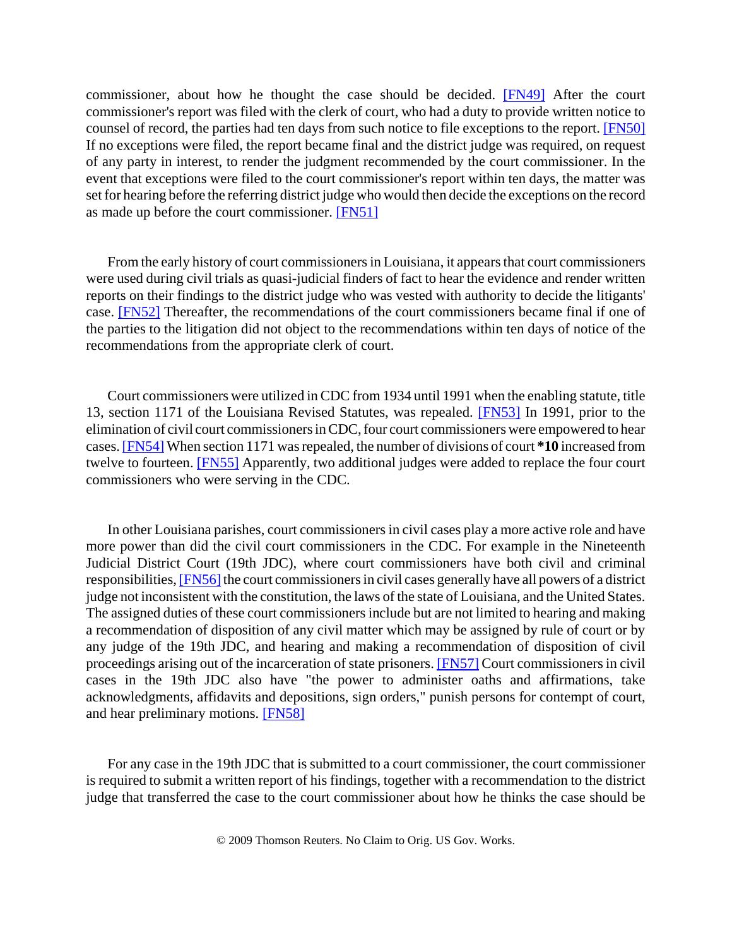commissioner, about how he thought the case should be decided. [FN49] After the court commissioner's report was filed with the clerk of court, who had a duty to provide written notice to counsel of record, the parties had ten days from such notice to file exceptions to the report. [FN50] If no exceptions were filed, the report became final and the district judge was required, on request of any party in interest, to render the judgment recommended by the court commissioner. In the event that exceptions were filed to the court commissioner's report within ten days, the matter was set for hearing before the referring district judge who would then decide the exceptions on the record as made up before the court commissioner. [FN51]

From the early history of court commissioners in Louisiana, it appears that court commissioners were used during civil trials as quasi-judicial finders of fact to hear the evidence and render written reports on their findings to the district judge who was vested with authority to decide the litigants' case. [FN52] Thereafter, the recommendations of the court commissioners became final if one of the parties to the litigation did not object to the recommendations within ten days of notice of the recommendations from the appropriate clerk of court.

Court commissioners were utilized in CDC from 1934 until 1991 when the enabling statute, title 13, section 1171 of the Louisiana Revised Statutes, was repealed. [FN53] In 1991, prior to the elimination of civil court commissioners in CDC, four court commissioners were empowered to hear cases. [FN54] When section 1171 was repealed, the number of divisions of court **\*10** increased from twelve to fourteen. [FN55] Apparently, two additional judges were added to replace the four court commissioners who were serving in the CDC.

In other Louisiana parishes, court commissioners in civil cases play a more active role and have more power than did the civil court commissioners in the CDC. For example in the Nineteenth Judicial District Court (19th JDC), where court commissioners have both civil and criminal responsibilities, [FN56] the court commissioners in civil cases generally have all powers of a district judge not inconsistent with the constitution, the laws of the state of Louisiana, and the United States. The assigned duties of these court commissioners include but are not limited to hearing and making a recommendation of disposition of any civil matter which may be assigned by rule of court or by any judge of the 19th JDC, and hearing and making a recommendation of disposition of civil proceedings arising out of the incarceration of state prisoners. [FN57] Court commissioners in civil cases in the 19th JDC also have "the power to administer oaths and affirmations, take acknowledgments, affidavits and depositions, sign orders," punish persons for contempt of court, and hear preliminary motions. [FN58]

For any case in the 19th JDC that is submitted to a court commissioner, the court commissioner is required to submit a written report of his findings, together with a recommendation to the district judge that transferred the case to the court commissioner about how he thinks the case should be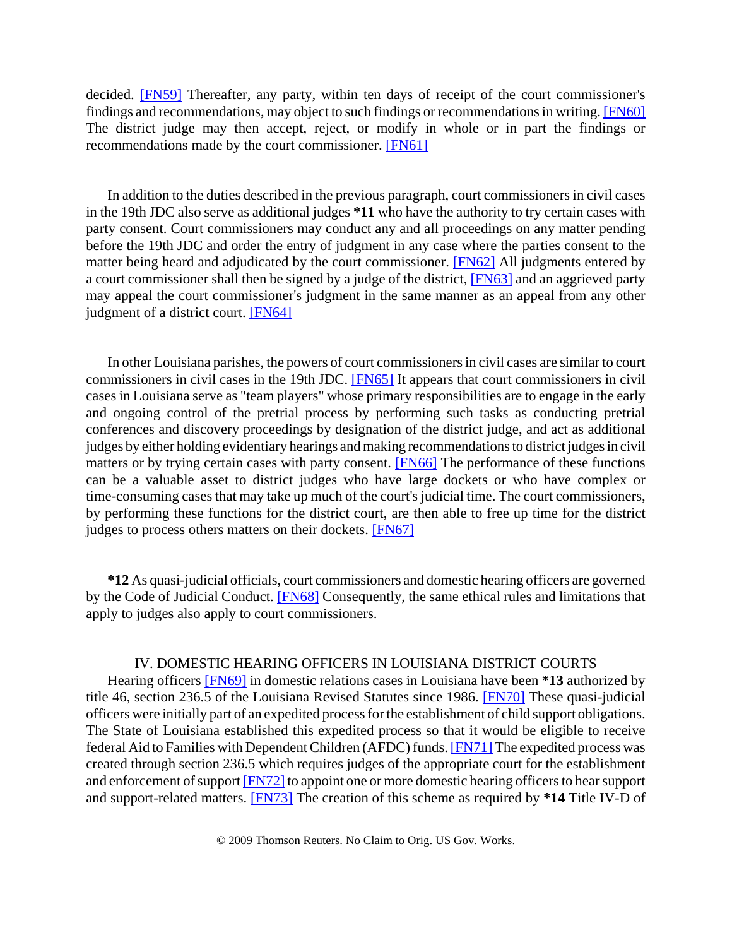decided. [FN59] Thereafter, any party, within ten days of receipt of the court commissioner's findings and recommendations, may object to such findings or recommendations in writing. [FN60] The district judge may then accept, reject, or modify in whole or in part the findings or recommendations made by the court commissioner. [FN61]

In addition to the duties described in the previous paragraph, court commissioners in civil cases in the 19th JDC also serve as additional judges **\*11** who have the authority to try certain cases with party consent. Court commissioners may conduct any and all proceedings on any matter pending before the 19th JDC and order the entry of judgment in any case where the parties consent to the matter being heard and adjudicated by the court commissioner. [FN62] All judgments entered by a court commissioner shall then be signed by a judge of the district, [FN63] and an aggrieved party may appeal the court commissioner's judgment in the same manner as an appeal from any other judgment of a district court. [FN64]

In other Louisiana parishes, the powers of court commissioners in civil cases are similar to court commissioners in civil cases in the 19th JDC. [FN65] It appears that court commissioners in civil cases in Louisiana serve as "team players" whose primary responsibilities are to engage in the early and ongoing control of the pretrial process by performing such tasks as conducting pretrial conferences and discovery proceedings by designation of the district judge, and act as additional judges by either holding evidentiary hearings and making recommendations to district judges in civil matters or by trying certain cases with party consent. [FN66] The performance of these functions can be a valuable asset to district judges who have large dockets or who have complex or time-consuming cases that may take up much of the court's judicial time. The court commissioners, by performing these functions for the district court, are then able to free up time for the district judges to process others matters on their dockets. [FN67]

**\*12** As quasi-judicial officials, court commissioners and domestic hearing officers are governed by the Code of Judicial Conduct. [FN68] Consequently, the same ethical rules and limitations that apply to judges also apply to court commissioners.

# IV. DOMESTIC HEARING OFFICERS IN LOUISIANA DISTRICT COURTS

Hearing officers [FN69] in domestic relations cases in Louisiana have been **\*13** authorized by title 46, section 236.5 of the Louisiana Revised Statutes since 1986. [FN70] These quasi-judicial officers were initially part of an expedited process for the establishment of child support obligations. The State of Louisiana established this expedited process so that it would be eligible to receive federal Aid to Families with Dependent Children (AFDC) funds. [FN71] The expedited process was created through section 236.5 which requires judges of the appropriate court for the establishment and enforcement of support [FN72] to appoint one or more domestic hearing officers to hear support and support-related matters. [FN73] The creation of this scheme as required by **\*14** Title IV-D of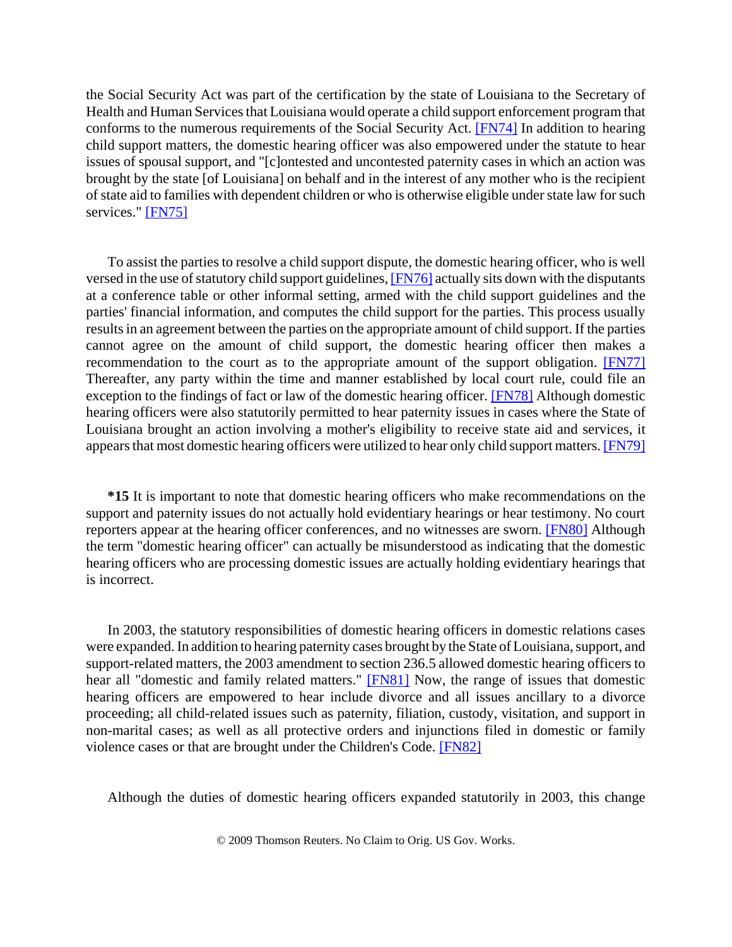the Social Security Act was part of the certification by the state of Louisiana to the Secretary of Health and Human Services that Louisiana would operate a child support enforcement program that conforms to the numerous requirements of the Social Security Act. [FN74] In addition to hearing child support matters, the domestic hearing officer was also empowered under the statute to hear issues of spousal support, and "[c]ontested and uncontested paternity cases in which an action was brought by the state [of Louisiana] on behalf and in the interest of any mother who is the recipient of state aid to families with dependent children or who is otherwise eligible under state law for such services." [FN75]

To assist the parties to resolve a child support dispute, the domestic hearing officer, who is well versed in the use of statutory child support guidelines, [FN76] actually sits down with the disputants at a conference table or other informal setting, armed with the child support guidelines and the parties' financial information, and computes the child support for the parties. This process usually results in an agreement between the parties on the appropriate amount of child support. If the parties cannot agree on the amount of child support, the domestic hearing officer then makes a recommendation to the court as to the appropriate amount of the support obligation. [FN77] Thereafter, any party within the time and manner established by local court rule, could file an exception to the findings of fact or law of the domestic hearing officer. [FN78] Although domestic hearing officers were also statutorily permitted to hear paternity issues in cases where the State of Louisiana brought an action involving a mother's eligibility to receive state aid and services, it appears that most domestic hearing officers were utilized to hear only child support matters. [FN79]

**\*15** It is important to note that domestic hearing officers who make recommendations on the support and paternity issues do not actually hold evidentiary hearings or hear testimony. No court reporters appear at the hearing officer conferences, and no witnesses are sworn. [FN80] Although the term "domestic hearing officer" can actually be misunderstood as indicating that the domestic hearing officers who are processing domestic issues are actually holding evidentiary hearings that is incorrect.

In 2003, the statutory responsibilities of domestic hearing officers in domestic relations cases were expanded. In addition to hearing paternity cases brought by the State of Louisiana, support, and support-related matters, the 2003 amendment to section 236.5 allowed domestic hearing officers to hear all "domestic and family related matters." **[FN81]** Now, the range of issues that domestic hearing officers are empowered to hear include divorce and all issues ancillary to a divorce proceeding; all child-related issues such as paternity, filiation, custody, visitation, and support in non-marital cases; as well as all protective orders and injunctions filed in domestic or family violence cases or that are brought under the Children's Code. [FN82]

Although the duties of domestic hearing officers expanded statutorily in 2003, this change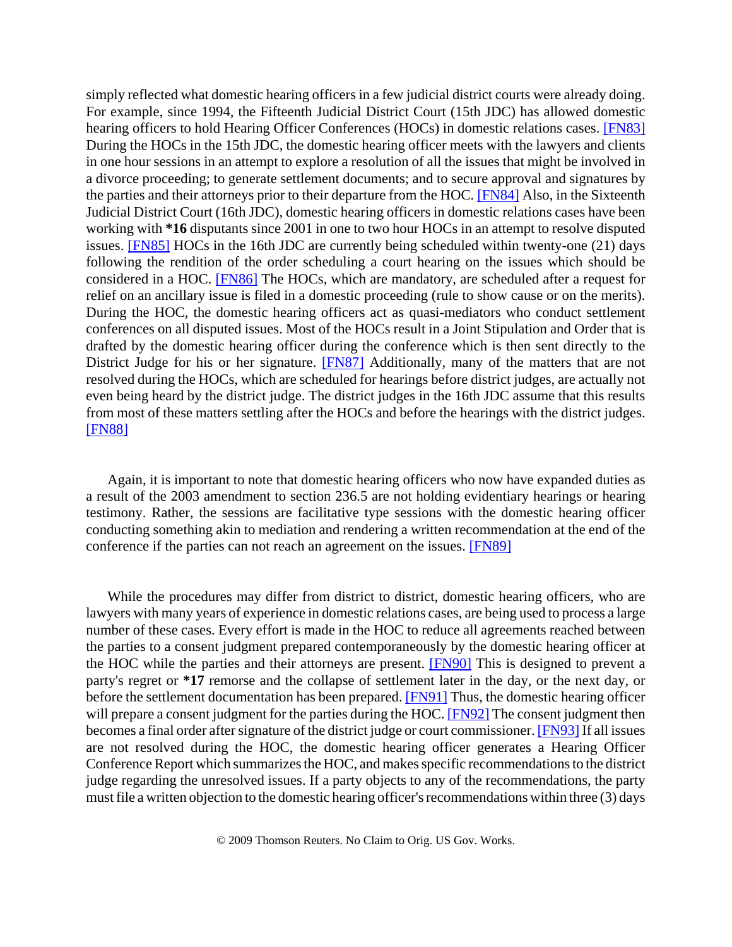simply reflected what domestic hearing officers in a few judicial district courts were already doing. For example, since 1994, the Fifteenth Judicial District Court (15th JDC) has allowed domestic hearing officers to hold Hearing Officer Conferences (HOCs) in domestic relations cases. [FN83] During the HOCs in the 15th JDC, the domestic hearing officer meets with the lawyers and clients in one hour sessions in an attempt to explore a resolution of all the issues that might be involved in a divorce proceeding; to generate settlement documents; and to secure approval and signatures by the parties and their attorneys prior to their departure from the HOC. [FN84] Also, in the Sixteenth Judicial District Court (16th JDC), domestic hearing officers in domestic relations cases have been working with **\*16** disputants since 2001 in one to two hour HOCs in an attempt to resolve disputed issues. [FN85] HOCs in the 16th JDC are currently being scheduled within twenty-one (21) days following the rendition of the order scheduling a court hearing on the issues which should be considered in a HOC. [FN86] The HOCs, which are mandatory, are scheduled after a request for relief on an ancillary issue is filed in a domestic proceeding (rule to show cause or on the merits). During the HOC, the domestic hearing officers act as quasi-mediators who conduct settlement conferences on all disputed issues. Most of the HOCs result in a Joint Stipulation and Order that is drafted by the domestic hearing officer during the conference which is then sent directly to the District Judge for his or her signature. [FN87] Additionally, many of the matters that are not resolved during the HOCs, which are scheduled for hearings before district judges, are actually not even being heard by the district judge. The district judges in the 16th JDC assume that this results from most of these matters settling after the HOCs and before the hearings with the district judges. [FN88]

Again, it is important to note that domestic hearing officers who now have expanded duties as a result of the 2003 amendment to section 236.5 are not holding evidentiary hearings or hearing testimony. Rather, the sessions are facilitative type sessions with the domestic hearing officer conducting something akin to mediation and rendering a written recommendation at the end of the conference if the parties can not reach an agreement on the issues. [FN89]

While the procedures may differ from district to district, domestic hearing officers, who are lawyers with many years of experience in domestic relations cases, are being used to process a large number of these cases. Every effort is made in the HOC to reduce all agreements reached between the parties to a consent judgment prepared contemporaneously by the domestic hearing officer at the HOC while the parties and their attorneys are present. [FN90] This is designed to prevent a party's regret or **\*17** remorse and the collapse of settlement later in the day, or the next day, or before the settlement documentation has been prepared. [FN91] Thus, the domestic hearing officer will prepare a consent judgment for the parties during the HOC. [FN92] The consent judgment then becomes a final order after signature of the district judge or court commissioner. [FN93] If all issues are not resolved during the HOC, the domestic hearing officer generates a Hearing Officer Conference Report which summarizes the HOC, and makes specific recommendations to the district judge regarding the unresolved issues. If a party objects to any of the recommendations, the party must file a written objection to the domestic hearing officer's recommendations within three (3) days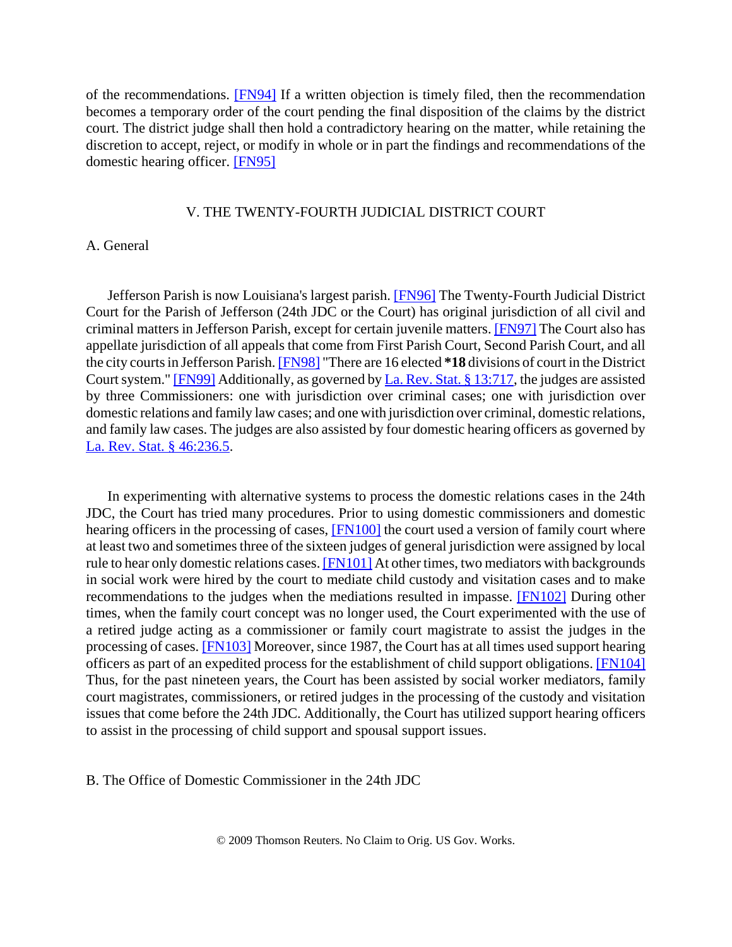of the recommendations. [FN94] If a written objection is timely filed, then the recommendation becomes a temporary order of the court pending the final disposition of the claims by the district court. The district judge shall then hold a contradictory hearing on the matter, while retaining the discretion to accept, reject, or modify in whole or in part the findings and recommendations of the domestic hearing officer. [FN95]

# V. THE TWENTY-FOURTH JUDICIAL DISTRICT COURT

# A. General

Jefferson Parish is now Louisiana's largest parish. [FN96] The Twenty-Fourth Judicial District Court for the Parish of Jefferson (24th JDC or the Court) has original jurisdiction of all civil and criminal matters in Jefferson Parish, except for certain juvenile matters. [FN97] The Court also has appellate jurisdiction of all appeals that come from First Parish Court, Second Parish Court, and all the city courts in Jefferson Parish. [FN98] "There are 16 elected **\*18** divisions of court in the District Court system." [FN99] Additionally, as governed by La. Rev. Stat. § 13:717, the judges are assisted by three Commissioners: one with jurisdiction over criminal cases; one with jurisdiction over domestic relations and family law cases; and one with jurisdiction over criminal, domestic relations, and family law cases. The judges are also assisted by four domestic hearing officers as governed by La. Rev. Stat. § 46:236.5.

In experimenting with alternative systems to process the domestic relations cases in the 24th JDC, the Court has tried many procedures. Prior to using domestic commissioners and domestic hearing officers in the processing of cases, **[FN100]** the court used a version of family court where at least two and sometimes three of the sixteen judges of general jurisdiction were assigned by local rule to hear only domestic relations cases. [FN101] At other times, two mediators with backgrounds in social work were hired by the court to mediate child custody and visitation cases and to make recommendations to the judges when the mediations resulted in impasse. [FN102] During other times, when the family court concept was no longer used, the Court experimented with the use of a retired judge acting as a commissioner or family court magistrate to assist the judges in the processing of cases. [FN103] Moreover, since 1987, the Court has at all times used support hearing officers as part of an expedited process for the establishment of child support obligations. [FN104] Thus, for the past nineteen years, the Court has been assisted by social worker mediators, family court magistrates, commissioners, or retired judges in the processing of the custody and visitation issues that come before the 24th JDC. Additionally, the Court has utilized support hearing officers to assist in the processing of child support and spousal support issues.

B. The Office of Domestic Commissioner in the 24th JDC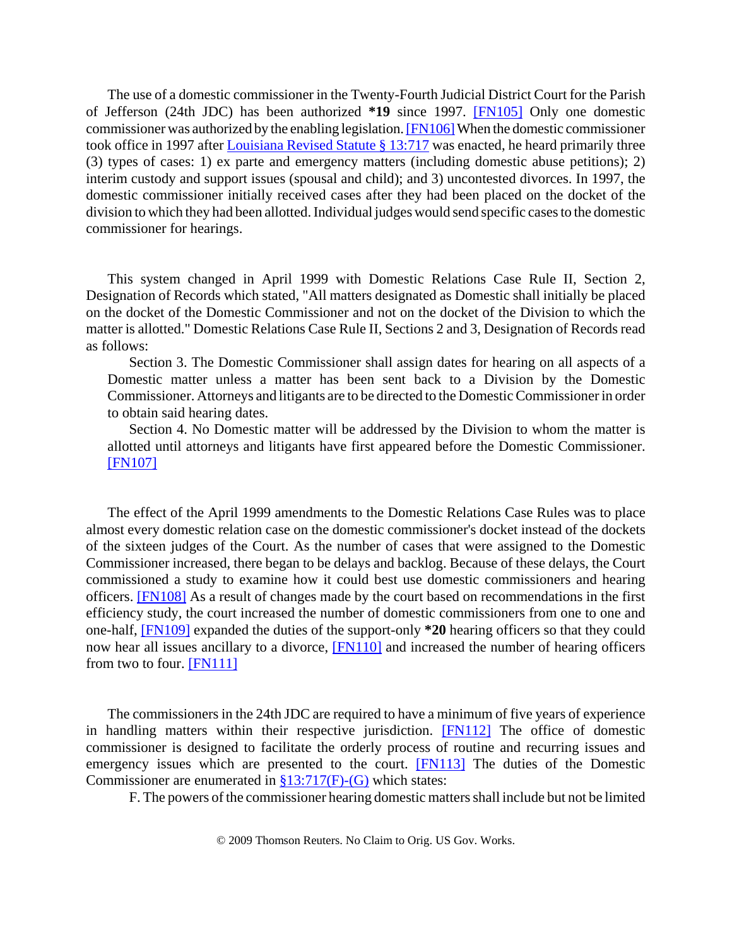The use of a domestic commissioner in the Twenty-Fourth Judicial District Court for the Parish of Jefferson (24th JDC) has been authorized **\*19** since 1997. [FN105] Only one domestic commissioner was authorized by the enabling legislation. [FN106] When the domestic commissioner took office in 1997 after Louisiana Revised Statute § 13:717 was enacted, he heard primarily three (3) types of cases: 1) ex parte and emergency matters (including domestic abuse petitions); 2) interim custody and support issues (spousal and child); and 3) uncontested divorces. In 1997, the domestic commissioner initially received cases after they had been placed on the docket of the division to which they had been allotted. Individual judges would send specific cases to the domestic commissioner for hearings.

This system changed in April 1999 with Domestic Relations Case Rule II, Section 2, Designation of Records which stated, "All matters designated as Domestic shall initially be placed on the docket of the Domestic Commissioner and not on the docket of the Division to which the matter is allotted." Domestic Relations Case Rule II, Sections 2 and 3, Designation of Records read as follows:

Section 3. The Domestic Commissioner shall assign dates for hearing on all aspects of a Domestic matter unless a matter has been sent back to a Division by the Domestic Commissioner. Attorneys and litigants are to be directed to the Domestic Commissioner in order to obtain said hearing dates.

Section 4. No Domestic matter will be addressed by the Division to whom the matter is allotted until attorneys and litigants have first appeared before the Domestic Commissioner. [FN107]

The effect of the April 1999 amendments to the Domestic Relations Case Rules was to place almost every domestic relation case on the domestic commissioner's docket instead of the dockets of the sixteen judges of the Court. As the number of cases that were assigned to the Domestic Commissioner increased, there began to be delays and backlog. Because of these delays, the Court commissioned a study to examine how it could best use domestic commissioners and hearing officers. [FN108] As a result of changes made by the court based on recommendations in the first efficiency study, the court increased the number of domestic commissioners from one to one and one-half, [FN109] expanded the duties of the support-only **\*20** hearing officers so that they could now hear all issues ancillary to a divorce, [FN110] and increased the number of hearing officers from two to four. [FN111]

The commissioners in the 24th JDC are required to have a minimum of five years of experience in handling matters within their respective jurisdiction. [FN112] The office of domestic commissioner is designed to facilitate the orderly process of routine and recurring issues and emergency issues which are presented to the court. **[FN113]** The duties of the Domestic Commissioner are enumerated in §13:717(F)-(G) which states:

F. The powers of the commissioner hearing domestic matters shall include but not be limited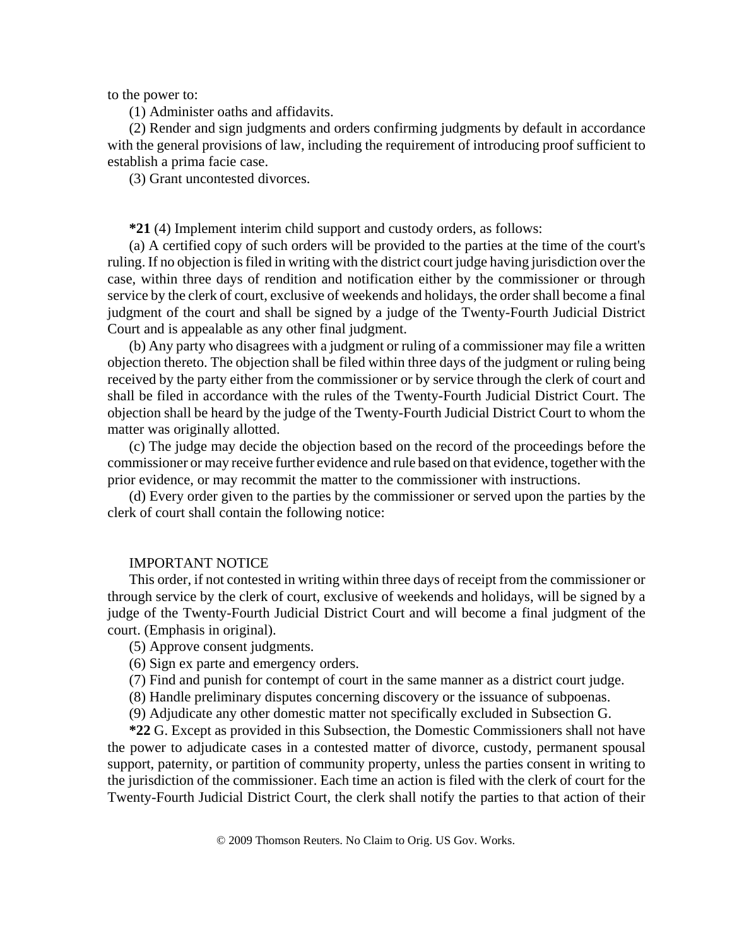to the power to:

(1) Administer oaths and affidavits.

(2) Render and sign judgments and orders confirming judgments by default in accordance with the general provisions of law, including the requirement of introducing proof sufficient to establish a prima facie case.

(3) Grant uncontested divorces.

**\*21** (4) Implement interim child support and custody orders, as follows:

(a) A certified copy of such orders will be provided to the parties at the time of the court's ruling. If no objection is filed in writing with the district court judge having jurisdiction over the case, within three days of rendition and notification either by the commissioner or through service by the clerk of court, exclusive of weekends and holidays, the order shall become a final judgment of the court and shall be signed by a judge of the Twenty-Fourth Judicial District Court and is appealable as any other final judgment.

(b) Any party who disagrees with a judgment or ruling of a commissioner may file a written objection thereto. The objection shall be filed within three days of the judgment or ruling being received by the party either from the commissioner or by service through the clerk of court and shall be filed in accordance with the rules of the Twenty-Fourth Judicial District Court. The objection shall be heard by the judge of the Twenty-Fourth Judicial District Court to whom the matter was originally allotted.

(c) The judge may decide the objection based on the record of the proceedings before the commissioner or may receive further evidence and rule based on that evidence, together with the prior evidence, or may recommit the matter to the commissioner with instructions.

(d) Every order given to the parties by the commissioner or served upon the parties by the clerk of court shall contain the following notice:

#### IMPORTANT NOTICE

This order, if not contested in writing within three days of receipt from the commissioner or through service by the clerk of court, exclusive of weekends and holidays, will be signed by a judge of the Twenty-Fourth Judicial District Court and will become a final judgment of the court. (Emphasis in original).

(5) Approve consent judgments.

(6) Sign ex parte and emergency orders.

(7) Find and punish for contempt of court in the same manner as a district court judge.

(8) Handle preliminary disputes concerning discovery or the issuance of subpoenas.

(9) Adjudicate any other domestic matter not specifically excluded in Subsection G.

**\*22** G. Except as provided in this Subsection, the Domestic Commissioners shall not have the power to adjudicate cases in a contested matter of divorce, custody, permanent spousal support, paternity, or partition of community property, unless the parties consent in writing to the jurisdiction of the commissioner. Each time an action is filed with the clerk of court for the Twenty-Fourth Judicial District Court, the clerk shall notify the parties to that action of their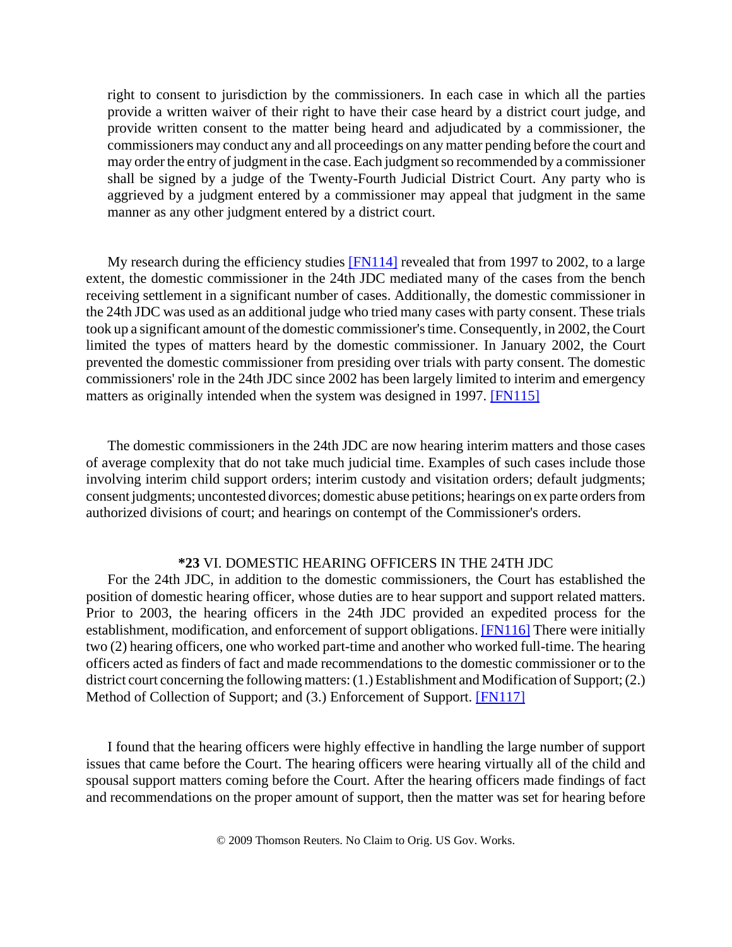right to consent to jurisdiction by the commissioners. In each case in which all the parties provide a written waiver of their right to have their case heard by a district court judge, and provide written consent to the matter being heard and adjudicated by a commissioner, the commissioners may conduct any and all proceedings on any matter pending before the court and may order the entry of judgment in the case. Each judgment so recommended by a commissioner shall be signed by a judge of the Twenty-Fourth Judicial District Court. Any party who is aggrieved by a judgment entered by a commissioner may appeal that judgment in the same manner as any other judgment entered by a district court.

My research during the efficiency studies  $[FN114]$  revealed that from 1997 to 2002, to a large extent, the domestic commissioner in the 24th JDC mediated many of the cases from the bench receiving settlement in a significant number of cases. Additionally, the domestic commissioner in the 24th JDC was used as an additional judge who tried many cases with party consent. These trials took up a significant amount of the domestic commissioner's time. Consequently, in 2002, the Court limited the types of matters heard by the domestic commissioner. In January 2002, the Court prevented the domestic commissioner from presiding over trials with party consent. The domestic commissioners' role in the 24th JDC since 2002 has been largely limited to interim and emergency matters as originally intended when the system was designed in 1997. [FN115]

The domestic commissioners in the 24th JDC are now hearing interim matters and those cases of average complexity that do not take much judicial time. Examples of such cases include those involving interim child support orders; interim custody and visitation orders; default judgments; consent judgments; uncontested divorces; domestic abuse petitions; hearings on ex parte orders from authorized divisions of court; and hearings on contempt of the Commissioner's orders.

#### **\*23** VI. DOMESTIC HEARING OFFICERS IN THE 24TH JDC

For the 24th JDC, in addition to the domestic commissioners, the Court has established the position of domestic hearing officer, whose duties are to hear support and support related matters. Prior to 2003, the hearing officers in the 24th JDC provided an expedited process for the establishment, modification, and enforcement of support obligations. **[FN116]** There were initially two (2) hearing officers, one who worked part-time and another who worked full-time. The hearing officers acted as finders of fact and made recommendations to the domestic commissioner or to the district court concerning the following matters: (1.) Establishment and Modification of Support; (2.) Method of Collection of Support; and (3.) Enforcement of Support. [FN117]

I found that the hearing officers were highly effective in handling the large number of support issues that came before the Court. The hearing officers were hearing virtually all of the child and spousal support matters coming before the Court. After the hearing officers made findings of fact and recommendations on the proper amount of support, then the matter was set for hearing before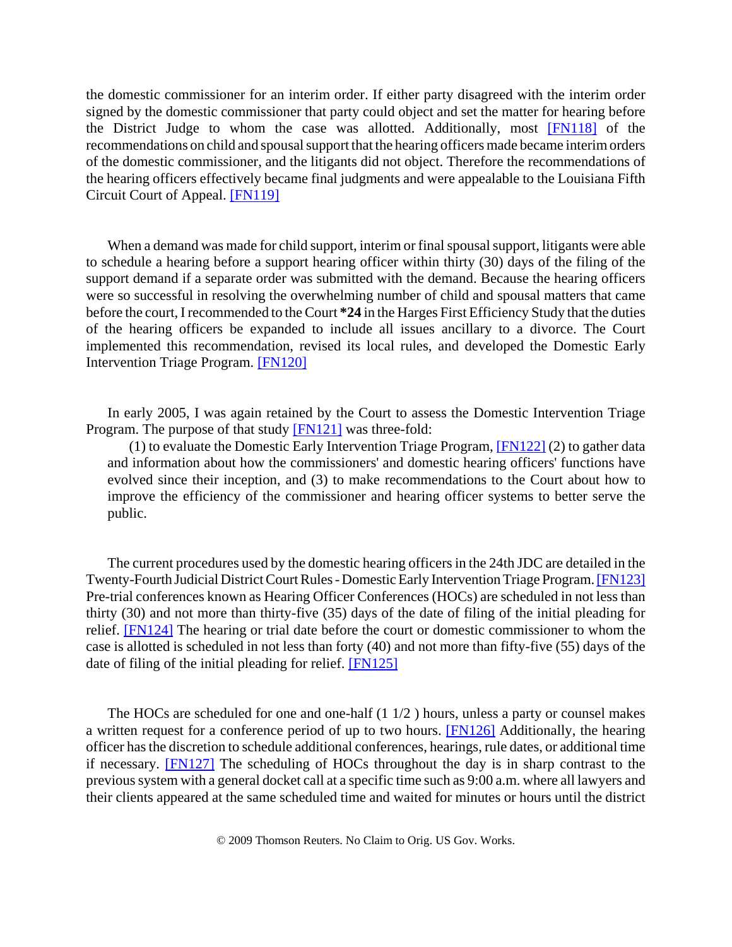the domestic commissioner for an interim order. If either party disagreed with the interim order signed by the domestic commissioner that party could object and set the matter for hearing before the District Judge to whom the case was allotted. Additionally, most [FN118] of the recommendations on child and spousal support that the hearing officers made became interim orders of the domestic commissioner, and the litigants did not object. Therefore the recommendations of the hearing officers effectively became final judgments and were appealable to the Louisiana Fifth Circuit Court of Appeal. [FN119]

When a demand was made for child support, interim or final spousal support, litigants were able to schedule a hearing before a support hearing officer within thirty (30) days of the filing of the support demand if a separate order was submitted with the demand. Because the hearing officers were so successful in resolving the overwhelming number of child and spousal matters that came before the court, I recommended to the Court **\*24** in the Harges First Efficiency Study that the duties of the hearing officers be expanded to include all issues ancillary to a divorce. The Court implemented this recommendation, revised its local rules, and developed the Domestic Early Intervention Triage Program. [FN120]

In early 2005, I was again retained by the Court to assess the Domestic Intervention Triage Program. The purpose of that study [FN121] was three-fold:

(1) to evaluate the Domestic Early Intervention Triage Program, [FN122] (2) to gather data and information about how the commissioners' and domestic hearing officers' functions have evolved since their inception, and (3) to make recommendations to the Court about how to improve the efficiency of the commissioner and hearing officer systems to better serve the public.

The current procedures used by the domestic hearing officers in the 24th JDC are detailed in the Twenty-Fourth Judicial District Court Rules - Domestic Early Intervention Triage Program. [FN123] Pre-trial conferences known as Hearing Officer Conferences (HOCs) are scheduled in not less than thirty (30) and not more than thirty-five (35) days of the date of filing of the initial pleading for relief. [FN124] The hearing or trial date before the court or domestic commissioner to whom the case is allotted is scheduled in not less than forty (40) and not more than fifty-five (55) days of the date of filing of the initial pleading for relief. [FN125]

The HOCs are scheduled for one and one-half (1 1/2 ) hours, unless a party or counsel makes a written request for a conference period of up to two hours. [FN126] Additionally, the hearing officer has the discretion to schedule additional conferences, hearings, rule dates, or additional time if necessary. [FN127] The scheduling of HOCs throughout the day is in sharp contrast to the previous system with a general docket call at a specific time such as 9:00 a.m. where all lawyers and their clients appeared at the same scheduled time and waited for minutes or hours until the district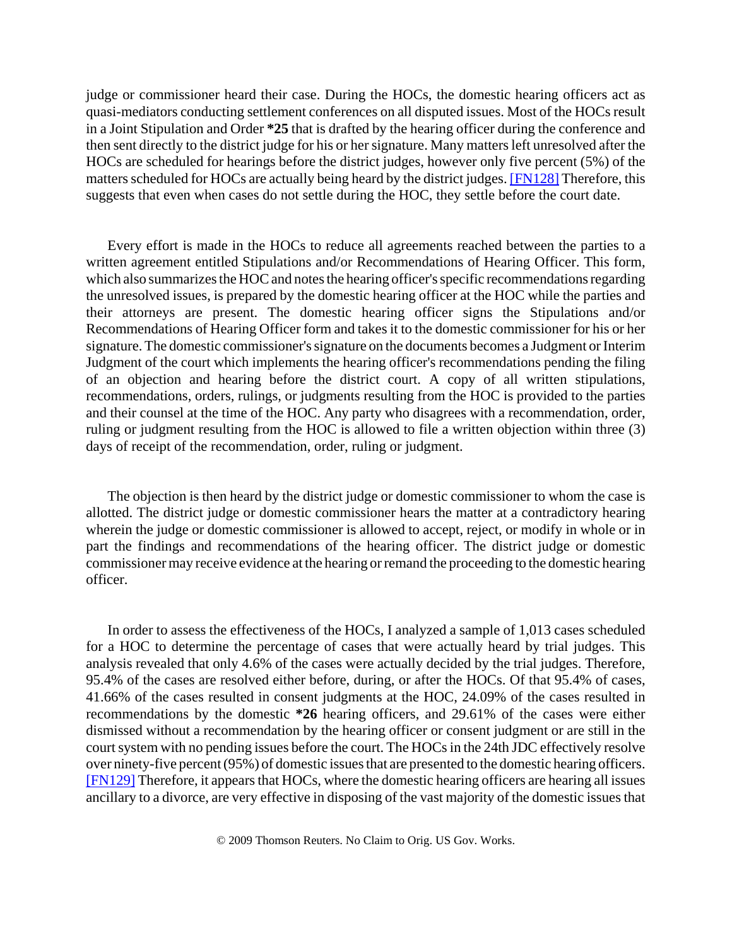judge or commissioner heard their case. During the HOCs, the domestic hearing officers act as quasi-mediators conducting settlement conferences on all disputed issues. Most of the HOCs result in a Joint Stipulation and Order **\*25** that is drafted by the hearing officer during the conference and then sent directly to the district judge for his or her signature. Many matters left unresolved after the HOCs are scheduled for hearings before the district judges, however only five percent (5%) of the matters scheduled for HOCs are actually being heard by the district judges. [FN128] Therefore, this suggests that even when cases do not settle during the HOC, they settle before the court date.

Every effort is made in the HOCs to reduce all agreements reached between the parties to a written agreement entitled Stipulations and/or Recommendations of Hearing Officer. This form, which also summarizes the HOC and notes the hearing officer's specific recommendations regarding the unresolved issues, is prepared by the domestic hearing officer at the HOC while the parties and their attorneys are present. The domestic hearing officer signs the Stipulations and/or Recommendations of Hearing Officer form and takes it to the domestic commissioner for his or her signature. The domestic commissioner's signature on the documents becomes a Judgment or Interim Judgment of the court which implements the hearing officer's recommendations pending the filing of an objection and hearing before the district court. A copy of all written stipulations, recommendations, orders, rulings, or judgments resulting from the HOC is provided to the parties and their counsel at the time of the HOC. Any party who disagrees with a recommendation, order, ruling or judgment resulting from the HOC is allowed to file a written objection within three (3) days of receipt of the recommendation, order, ruling or judgment.

The objection is then heard by the district judge or domestic commissioner to whom the case is allotted. The district judge or domestic commissioner hears the matter at a contradictory hearing wherein the judge or domestic commissioner is allowed to accept, reject, or modify in whole or in part the findings and recommendations of the hearing officer. The district judge or domestic commissioner may receive evidence at the hearing or remand the proceeding to the domestic hearing officer.

In order to assess the effectiveness of the HOCs, I analyzed a sample of 1,013 cases scheduled for a HOC to determine the percentage of cases that were actually heard by trial judges. This analysis revealed that only 4.6% of the cases were actually decided by the trial judges. Therefore, 95.4% of the cases are resolved either before, during, or after the HOCs. Of that 95.4% of cases, 41.66% of the cases resulted in consent judgments at the HOC, 24.09% of the cases resulted in recommendations by the domestic **\*26** hearing officers, and 29.61% of the cases were either dismissed without a recommendation by the hearing officer or consent judgment or are still in the court system with no pending issues before the court. The HOCs in the 24th JDC effectively resolve over ninety-five percent (95%) of domestic issues that are presented to the domestic hearing officers. [FN129] Therefore, it appears that HOCs, where the domestic hearing officers are hearing all issues ancillary to a divorce, are very effective in disposing of the vast majority of the domestic issues that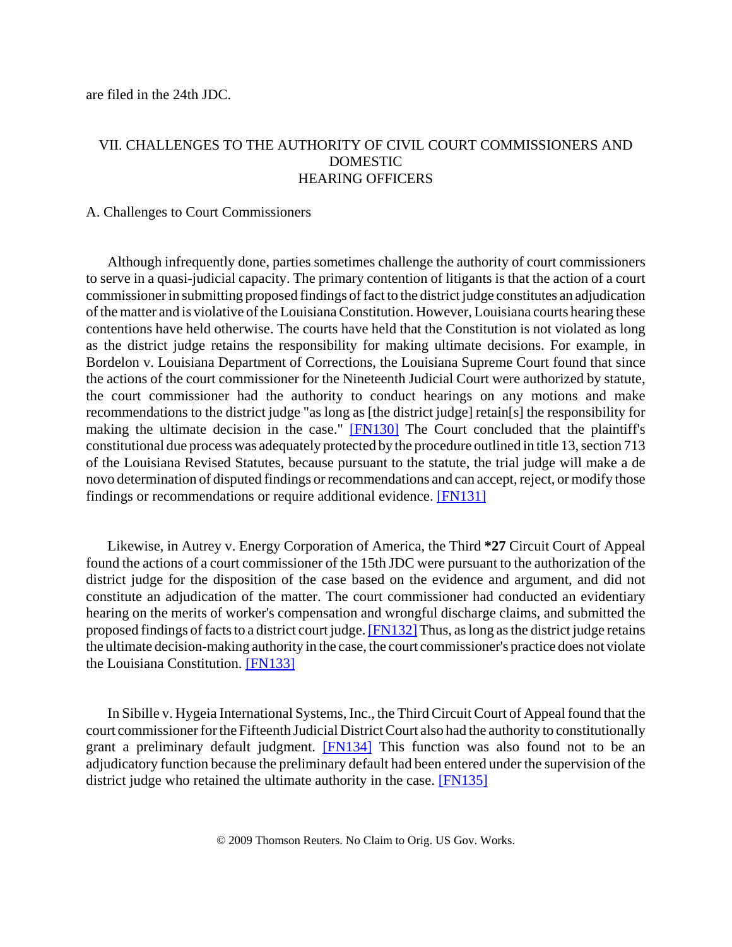are filed in the 24th JDC.

# VII. CHALLENGES TO THE AUTHORITY OF CIVIL COURT COMMISSIONERS AND DOMESTIC HEARING OFFICERS

# A. Challenges to Court Commissioners

Although infrequently done, parties sometimes challenge the authority of court commissioners to serve in a quasi-judicial capacity. The primary contention of litigants is that the action of a court commissioner in submitting proposed findings of fact to the district judge constitutes an adjudication of the matter and is violative of the Louisiana Constitution. However, Louisiana courts hearing these contentions have held otherwise. The courts have held that the Constitution is not violated as long as the district judge retains the responsibility for making ultimate decisions. For example, in Bordelon v. Louisiana Department of Corrections, the Louisiana Supreme Court found that since the actions of the court commissioner for the Nineteenth Judicial Court were authorized by statute, the court commissioner had the authority to conduct hearings on any motions and make recommendations to the district judge "as long as [the district judge] retain[s] the responsibility for making the ultimate decision in the case." [FN130] The Court concluded that the plaintiff's constitutional due process was adequately protected by the procedure outlined in title 13, section 713 of the Louisiana Revised Statutes, because pursuant to the statute, the trial judge will make a de novo determination of disputed findings or recommendations and can accept, reject, or modify those findings or recommendations or require additional evidence. [FN131]

Likewise, in Autrey v. Energy Corporation of America, the Third **\*27** Circuit Court of Appeal found the actions of a court commissioner of the 15th JDC were pursuant to the authorization of the district judge for the disposition of the case based on the evidence and argument, and did not constitute an adjudication of the matter. The court commissioner had conducted an evidentiary hearing on the merits of worker's compensation and wrongful discharge claims, and submitted the proposed findings of facts to a district court judge. [FN132] Thus, as long as the district judge retains the ultimate decision-making authority in the case, the court commissioner's practice does not violate the Louisiana Constitution. [FN133]

In Sibille v. Hygeia International Systems, Inc., the Third Circuit Court of Appeal found that the court commissioner for the Fifteenth Judicial District Court also had the authority to constitutionally grant a preliminary default judgment. **[FN134]** This function was also found not to be an adjudicatory function because the preliminary default had been entered under the supervision of the district judge who retained the ultimate authority in the case. [FN135]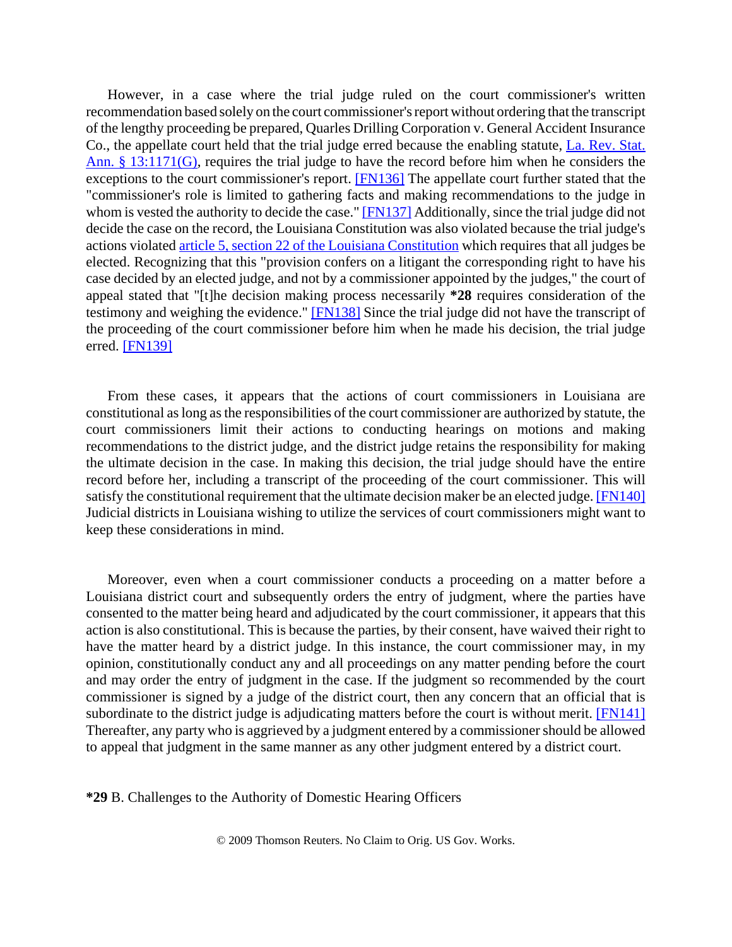However, in a case where the trial judge ruled on the court commissioner's written recommendation based solely on the court commissioner's report without ordering that the transcript of the lengthy proceeding be prepared, Quarles Drilling Corporation v. General Accident Insurance Co., the appellate court held that the trial judge erred because the enabling statute, La. Rev. Stat. Ann. § 13:1171(G), requires the trial judge to have the record before him when he considers the exceptions to the court commissioner's report. [FN136] The appellate court further stated that the "commissioner's role is limited to gathering facts and making recommendations to the judge in whom is vested the authority to decide the case." [FN137] Additionally, since the trial judge did not decide the case on the record, the Louisiana Constitution was also violated because the trial judge's actions violated article 5, section 22 of the Louisiana Constitution which requires that all judges be elected. Recognizing that this "provision confers on a litigant the corresponding right to have his case decided by an elected judge, and not by a commissioner appointed by the judges," the court of appeal stated that "[t]he decision making process necessarily **\*28** requires consideration of the testimony and weighing the evidence." [FN138] Since the trial judge did not have the transcript of the proceeding of the court commissioner before him when he made his decision, the trial judge erred. [FN139]

From these cases, it appears that the actions of court commissioners in Louisiana are constitutional as long as the responsibilities of the court commissioner are authorized by statute, the court commissioners limit their actions to conducting hearings on motions and making recommendations to the district judge, and the district judge retains the responsibility for making the ultimate decision in the case. In making this decision, the trial judge should have the entire record before her, including a transcript of the proceeding of the court commissioner. This will satisfy the constitutional requirement that the ultimate decision maker be an elected judge. [FN140] Judicial districts in Louisiana wishing to utilize the services of court commissioners might want to keep these considerations in mind.

Moreover, even when a court commissioner conducts a proceeding on a matter before a Louisiana district court and subsequently orders the entry of judgment, where the parties have consented to the matter being heard and adjudicated by the court commissioner, it appears that this action is also constitutional. This is because the parties, by their consent, have waived their right to have the matter heard by a district judge. In this instance, the court commissioner may, in my opinion, constitutionally conduct any and all proceedings on any matter pending before the court and may order the entry of judgment in the case. If the judgment so recommended by the court commissioner is signed by a judge of the district court, then any concern that an official that is subordinate to the district judge is adjudicating matters before the court is without merit. [FN141] Thereafter, any party who is aggrieved by a judgment entered by a commissioner should be allowed to appeal that judgment in the same manner as any other judgment entered by a district court.

**\*29** B. Challenges to the Authority of Domestic Hearing Officers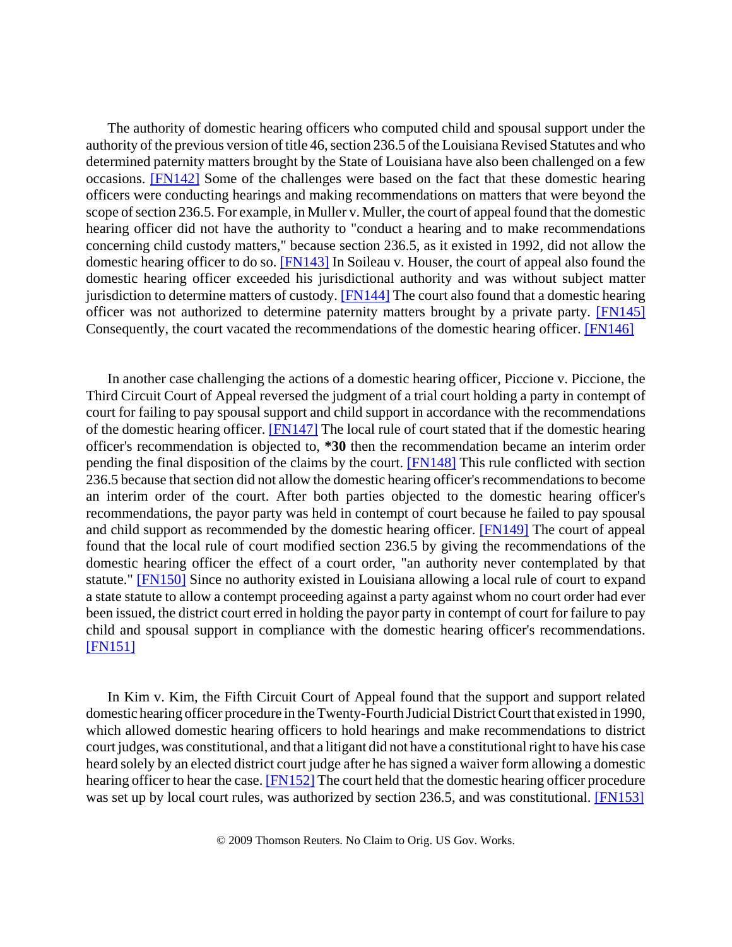The authority of domestic hearing officers who computed child and spousal support under the authority of the previous version of title 46, section 236.5 of the Louisiana Revised Statutes and who determined paternity matters brought by the State of Louisiana have also been challenged on a few occasions. [FN142] Some of the challenges were based on the fact that these domestic hearing officers were conducting hearings and making recommendations on matters that were beyond the scope of section 236.5. For example, in Muller v. Muller, the court of appeal found that the domestic hearing officer did not have the authority to "conduct a hearing and to make recommendations concerning child custody matters," because section 236.5, as it existed in 1992, did not allow the domestic hearing officer to do so. [FN143] In Soileau v. Houser, the court of appeal also found the domestic hearing officer exceeded his jurisdictional authority and was without subject matter jurisdiction to determine matters of custody. [FN144] The court also found that a domestic hearing officer was not authorized to determine paternity matters brought by a private party. [FN145] Consequently, the court vacated the recommendations of the domestic hearing officer. [FN146]

In another case challenging the actions of a domestic hearing officer, Piccione v. Piccione, the Third Circuit Court of Appeal reversed the judgment of a trial court holding a party in contempt of court for failing to pay spousal support and child support in accordance with the recommendations of the domestic hearing officer. [FN147] The local rule of court stated that if the domestic hearing officer's recommendation is objected to, **\*30** then the recommendation became an interim order pending the final disposition of the claims by the court. [FN148] This rule conflicted with section 236.5 because that section did not allow the domestic hearing officer's recommendations to become an interim order of the court. After both parties objected to the domestic hearing officer's recommendations, the payor party was held in contempt of court because he failed to pay spousal and child support as recommended by the domestic hearing officer. [FN149] The court of appeal found that the local rule of court modified section 236.5 by giving the recommendations of the domestic hearing officer the effect of a court order, "an authority never contemplated by that statute." [FN150] Since no authority existed in Louisiana allowing a local rule of court to expand a state statute to allow a contempt proceeding against a party against whom no court order had ever been issued, the district court erred in holding the payor party in contempt of court for failure to pay child and spousal support in compliance with the domestic hearing officer's recommendations. [FN151]

In Kim v. Kim, the Fifth Circuit Court of Appeal found that the support and support related domestic hearing officer procedure in the Twenty-Fourth Judicial District Court that existed in 1990, which allowed domestic hearing officers to hold hearings and make recommendations to district court judges, was constitutional, and that a litigant did not have a constitutional right to have his case heard solely by an elected district court judge after he has signed a waiver form allowing a domestic hearing officer to hear the case. **[FN152]** The court held that the domestic hearing officer procedure was set up by local court rules, was authorized by section 236.5, and was constitutional. [FN153]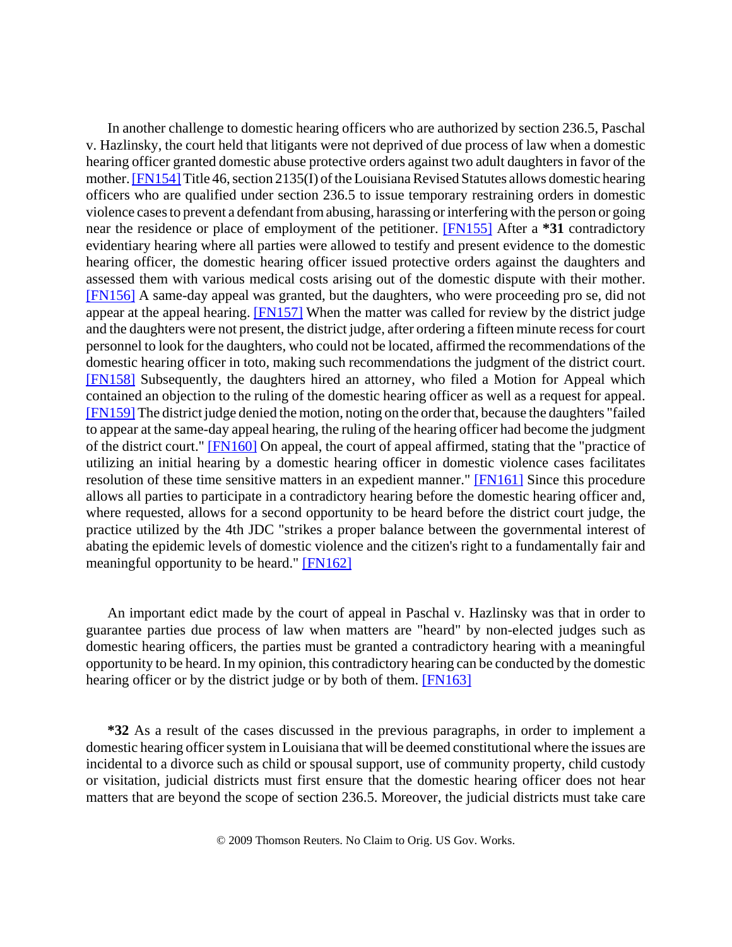In another challenge to domestic hearing officers who are authorized by section 236.5, Paschal v. Hazlinsky, the court held that litigants were not deprived of due process of law when a domestic hearing officer granted domestic abuse protective orders against two adult daughters in favor of the mother. [FN154] Title 46, section 2135(I) of the Louisiana Revised Statutes allows domestic hearing officers who are qualified under section 236.5 to issue temporary restraining orders in domestic violence cases to prevent a defendant from abusing, harassing or interfering with the person or going near the residence or place of employment of the petitioner. [FN155] After a **\*31** contradictory evidentiary hearing where all parties were allowed to testify and present evidence to the domestic hearing officer, the domestic hearing officer issued protective orders against the daughters and assessed them with various medical costs arising out of the domestic dispute with their mother. [FN156] A same-day appeal was granted, but the daughters, who were proceeding pro se, did not appear at the appeal hearing. [FN157] When the matter was called for review by the district judge and the daughters were not present, the district judge, after ordering a fifteen minute recess for court personnel to look for the daughters, who could not be located, affirmed the recommendations of the domestic hearing officer in toto, making such recommendations the judgment of the district court. [FN158] Subsequently, the daughters hired an attorney, who filed a Motion for Appeal which contained an objection to the ruling of the domestic hearing officer as well as a request for appeal. [FN159] The district judge denied the motion, noting on the order that, because the daughters "failed to appear at the same-day appeal hearing, the ruling of the hearing officer had become the judgment of the district court." [FN160] On appeal, the court of appeal affirmed, stating that the "practice of utilizing an initial hearing by a domestic hearing officer in domestic violence cases facilitates resolution of these time sensitive matters in an expedient manner." [FN161] Since this procedure allows all parties to participate in a contradictory hearing before the domestic hearing officer and, where requested, allows for a second opportunity to be heard before the district court judge, the practice utilized by the 4th JDC "strikes a proper balance between the governmental interest of abating the epidemic levels of domestic violence and the citizen's right to a fundamentally fair and meaningful opportunity to be heard." [FN162]

An important edict made by the court of appeal in Paschal v. Hazlinsky was that in order to guarantee parties due process of law when matters are "heard" by non-elected judges such as domestic hearing officers, the parties must be granted a contradictory hearing with a meaningful opportunity to be heard. In my opinion, this contradictory hearing can be conducted by the domestic hearing officer or by the district judge or by both of them. [FN163]

**\*32** As a result of the cases discussed in the previous paragraphs, in order to implement a domestic hearing officer system in Louisiana that will be deemed constitutional where the issues are incidental to a divorce such as child or spousal support, use of community property, child custody or visitation, judicial districts must first ensure that the domestic hearing officer does not hear matters that are beyond the scope of section 236.5. Moreover, the judicial districts must take care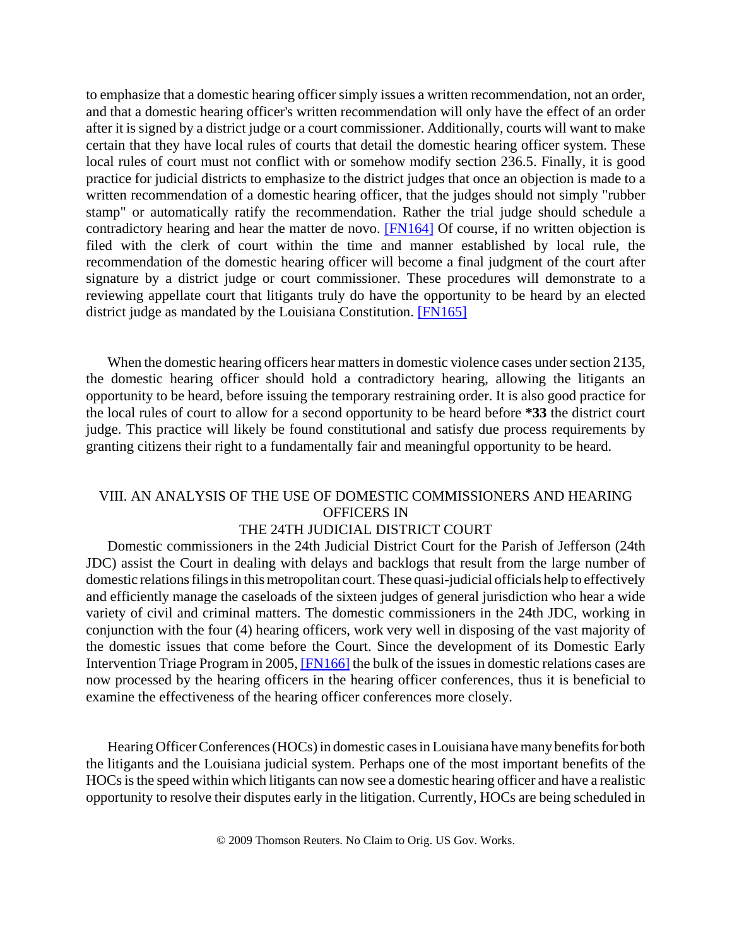to emphasize that a domestic hearing officer simply issues a written recommendation, not an order, and that a domestic hearing officer's written recommendation will only have the effect of an order after it is signed by a district judge or a court commissioner. Additionally, courts will want to make certain that they have local rules of courts that detail the domestic hearing officer system. These local rules of court must not conflict with or somehow modify section 236.5. Finally, it is good practice for judicial districts to emphasize to the district judges that once an objection is made to a written recommendation of a domestic hearing officer, that the judges should not simply "rubber stamp" or automatically ratify the recommendation. Rather the trial judge should schedule a contradictory hearing and hear the matter de novo. [FN164] Of course, if no written objection is filed with the clerk of court within the time and manner established by local rule, the recommendation of the domestic hearing officer will become a final judgment of the court after signature by a district judge or court commissioner. These procedures will demonstrate to a reviewing appellate court that litigants truly do have the opportunity to be heard by an elected district judge as mandated by the Louisiana Constitution. [FN165]

When the domestic hearing officers hear matters in domestic violence cases under section 2135, the domestic hearing officer should hold a contradictory hearing, allowing the litigants an opportunity to be heard, before issuing the temporary restraining order. It is also good practice for the local rules of court to allow for a second opportunity to be heard before **\*33** the district court judge. This practice will likely be found constitutional and satisfy due process requirements by granting citizens their right to a fundamentally fair and meaningful opportunity to be heard.

# VIII. AN ANALYSIS OF THE USE OF DOMESTIC COMMISSIONERS AND HEARING OFFICERS IN

# THE 24TH JUDICIAL DISTRICT COURT

Domestic commissioners in the 24th Judicial District Court for the Parish of Jefferson (24th JDC) assist the Court in dealing with delays and backlogs that result from the large number of domestic relations filings in this metropolitan court. These quasi-judicial officials help to effectively and efficiently manage the caseloads of the sixteen judges of general jurisdiction who hear a wide variety of civil and criminal matters. The domestic commissioners in the 24th JDC, working in conjunction with the four (4) hearing officers, work very well in disposing of the vast majority of the domestic issues that come before the Court. Since the development of its Domestic Early Intervention Triage Program in 2005, [FN166] the bulk of the issues in domestic relations cases are now processed by the hearing officers in the hearing officer conferences, thus it is beneficial to examine the effectiveness of the hearing officer conferences more closely.

Hearing Officer Conferences (HOCs) in domestic cases in Louisiana have many benefits for both the litigants and the Louisiana judicial system. Perhaps one of the most important benefits of the HOCs is the speed within which litigants can now see a domestic hearing officer and have a realistic opportunity to resolve their disputes early in the litigation. Currently, HOCs are being scheduled in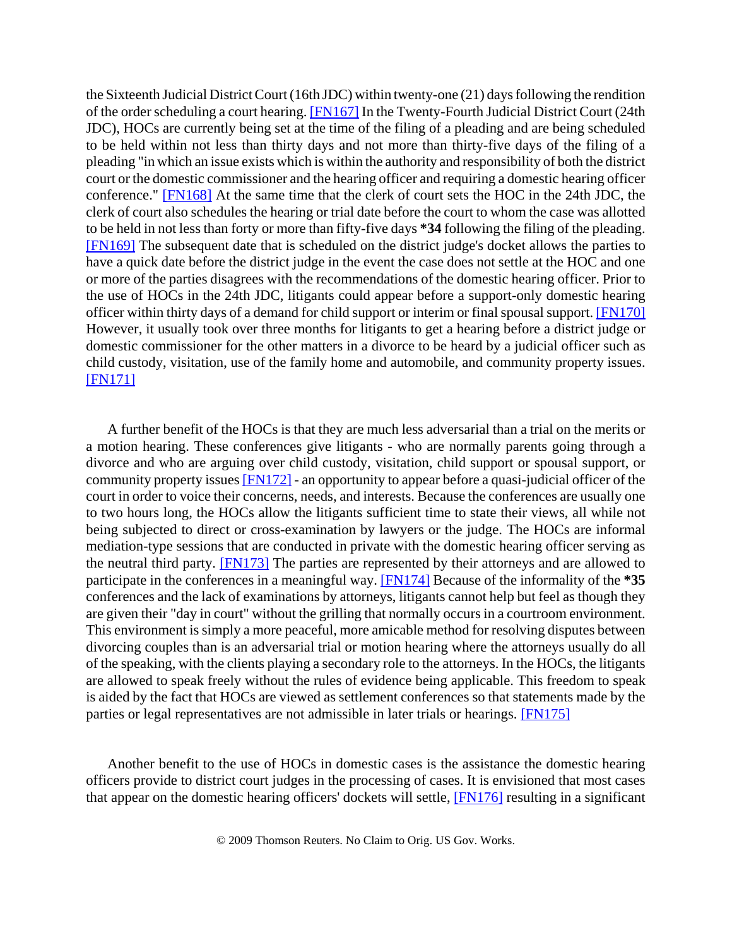the Sixteenth Judicial District Court (16th JDC) within twenty-one (21) days following the rendition of the order scheduling a court hearing. [FN167] In the Twenty-Fourth Judicial District Court (24th JDC), HOCs are currently being set at the time of the filing of a pleading and are being scheduled to be held within not less than thirty days and not more than thirty-five days of the filing of a pleading "in which an issue exists which is within the authority and responsibility of both the district court or the domestic commissioner and the hearing officer and requiring a domestic hearing officer conference." [FN168] At the same time that the clerk of court sets the HOC in the 24th JDC, the clerk of court also schedules the hearing or trial date before the court to whom the case was allotted to be held in not less than forty or more than fifty-five days **\*34** following the filing of the pleading. [FN169] The subsequent date that is scheduled on the district judge's docket allows the parties to have a quick date before the district judge in the event the case does not settle at the HOC and one or more of the parties disagrees with the recommendations of the domestic hearing officer. Prior to the use of HOCs in the 24th JDC, litigants could appear before a support-only domestic hearing officer within thirty days of a demand for child support or interim or final spousal support. [FN170] However, it usually took over three months for litigants to get a hearing before a district judge or domestic commissioner for the other matters in a divorce to be heard by a judicial officer such as child custody, visitation, use of the family home and automobile, and community property issues. [**FN171**]

A further benefit of the HOCs is that they are much less adversarial than a trial on the merits or a motion hearing. These conferences give litigants - who are normally parents going through a divorce and who are arguing over child custody, visitation, child support or spousal support, or community property issues [FN172] - an opportunity to appear before a quasi-judicial officer of the court in order to voice their concerns, needs, and interests. Because the conferences are usually one to two hours long, the HOCs allow the litigants sufficient time to state their views, all while not being subjected to direct or cross-examination by lawyers or the judge. The HOCs are informal mediation-type sessions that are conducted in private with the domestic hearing officer serving as the neutral third party. [FN173] The parties are represented by their attorneys and are allowed to participate in the conferences in a meaningful way. [FN174] Because of the informality of the **\*35** conferences and the lack of examinations by attorneys, litigants cannot help but feel as though they are given their "day in court" without the grilling that normally occurs in a courtroom environment. This environment is simply a more peaceful, more amicable method for resolving disputes between divorcing couples than is an adversarial trial or motion hearing where the attorneys usually do all of the speaking, with the clients playing a secondary role to the attorneys. In the HOCs, the litigants are allowed to speak freely without the rules of evidence being applicable. This freedom to speak is aided by the fact that HOCs are viewed as settlement conferences so that statements made by the parties or legal representatives are not admissible in later trials or hearings. **[FN175]** 

Another benefit to the use of HOCs in domestic cases is the assistance the domestic hearing officers provide to district court judges in the processing of cases. It is envisioned that most cases that appear on the domestic hearing officers' dockets will settle, [FN176] resulting in a significant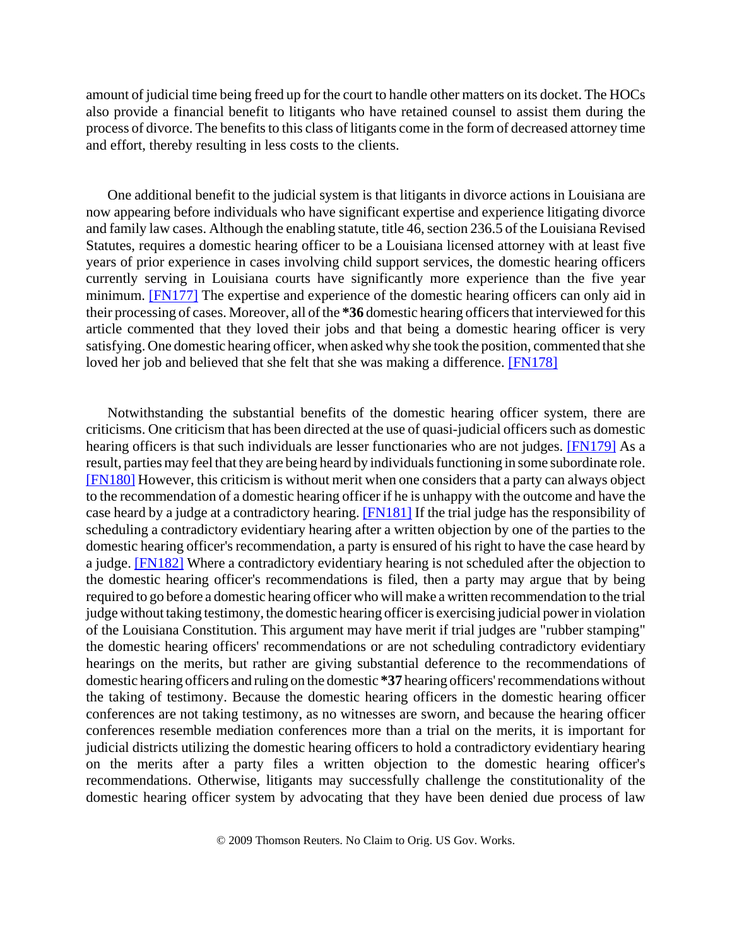amount of judicial time being freed up for the court to handle other matters on its docket. The HOCs also provide a financial benefit to litigants who have retained counsel to assist them during the process of divorce. The benefits to this class of litigants come in the form of decreased attorney time and effort, thereby resulting in less costs to the clients.

One additional benefit to the judicial system is that litigants in divorce actions in Louisiana are now appearing before individuals who have significant expertise and experience litigating divorce and family law cases. Although the enabling statute, title 46, section 236.5 of the Louisiana Revised Statutes, requires a domestic hearing officer to be a Louisiana licensed attorney with at least five years of prior experience in cases involving child support services, the domestic hearing officers currently serving in Louisiana courts have significantly more experience than the five year minimum. [FN177] The expertise and experience of the domestic hearing officers can only aid in their processing of cases. Moreover, all of the **\*36** domestic hearing officers that interviewed for this article commented that they loved their jobs and that being a domestic hearing officer is very satisfying. One domestic hearing officer, when asked why she took the position, commented that she loved her job and believed that she felt that she was making a difference. [FN178]

Notwithstanding the substantial benefits of the domestic hearing officer system, there are criticisms. One criticism that has been directed at the use of quasi-judicial officers such as domestic hearing officers is that such individuals are lesser functionaries who are not judges. [FN179] As a result, parties may feel that they are being heard by individuals functioning in some subordinate role. [FN180] However, this criticism is without merit when one considers that a party can always object to the recommendation of a domestic hearing officer if he is unhappy with the outcome and have the case heard by a judge at a contradictory hearing. [FN181] If the trial judge has the responsibility of scheduling a contradictory evidentiary hearing after a written objection by one of the parties to the domestic hearing officer's recommendation, a party is ensured of his right to have the case heard by a judge. [FN182] Where a contradictory evidentiary hearing is not scheduled after the objection to the domestic hearing officer's recommendations is filed, then a party may argue that by being required to go before a domestic hearing officer who will make a written recommendation to the trial judge without taking testimony, the domestic hearing officer is exercising judicial power in violation of the Louisiana Constitution. This argument may have merit if trial judges are "rubber stamping" the domestic hearing officers' recommendations or are not scheduling contradictory evidentiary hearings on the merits, but rather are giving substantial deference to the recommendations of domestic hearing officers and ruling on the domestic **\*37** hearing officers' recommendations without the taking of testimony. Because the domestic hearing officers in the domestic hearing officer conferences are not taking testimony, as no witnesses are sworn, and because the hearing officer conferences resemble mediation conferences more than a trial on the merits, it is important for judicial districts utilizing the domestic hearing officers to hold a contradictory evidentiary hearing on the merits after a party files a written objection to the domestic hearing officer's recommendations. Otherwise, litigants may successfully challenge the constitutionality of the domestic hearing officer system by advocating that they have been denied due process of law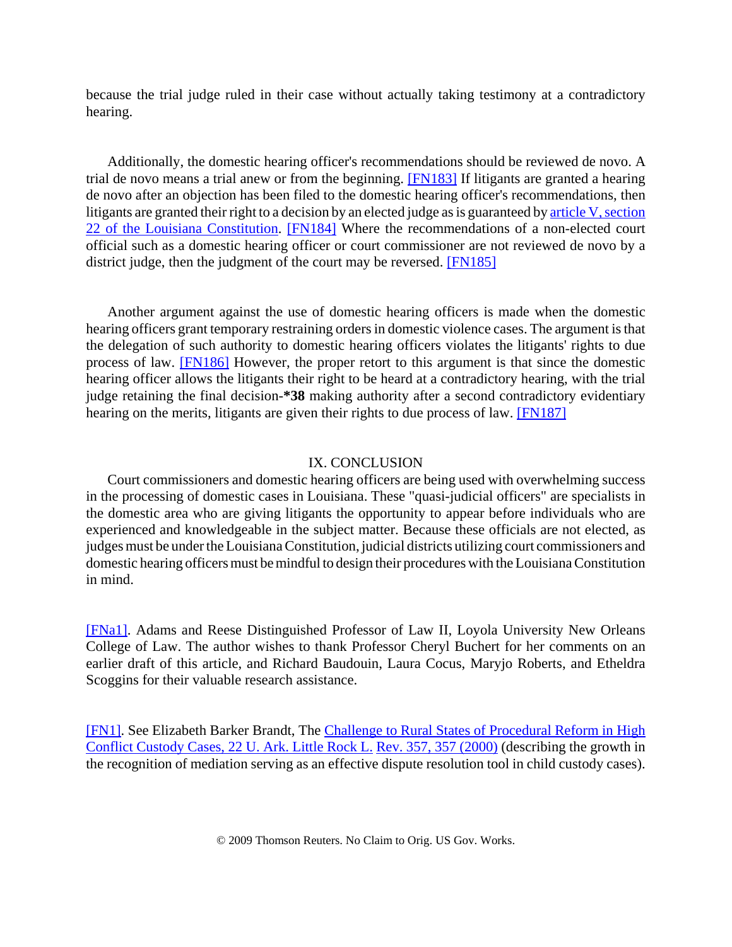because the trial judge ruled in their case without actually taking testimony at a contradictory hearing.

Additionally, the domestic hearing officer's recommendations should be reviewed de novo. A trial de novo means a trial anew or from the beginning. [FN183] If litigants are granted a hearing de novo after an objection has been filed to the domestic hearing officer's recommendations, then litigants are granted their right to a decision by an elected judge as is guaranteed by article V, section 22 of the Louisiana Constitution. [FN184] Where the recommendations of a non-elected court official such as a domestic hearing officer or court commissioner are not reviewed de novo by a district judge, then the judgment of the court may be reversed. [FN185]

Another argument against the use of domestic hearing officers is made when the domestic hearing officers grant temporary restraining orders in domestic violence cases. The argument is that the delegation of such authority to domestic hearing officers violates the litigants' rights to due process of law. [FN186] However, the proper retort to this argument is that since the domestic hearing officer allows the litigants their right to be heard at a contradictory hearing, with the trial judge retaining the final decision-**\*38** making authority after a second contradictory evidentiary hearing on the merits, litigants are given their rights to due process of law. [FN187]

#### IX. CONCLUSION

Court commissioners and domestic hearing officers are being used with overwhelming success in the processing of domestic cases in Louisiana. These "quasi-judicial officers" are specialists in the domestic area who are giving litigants the opportunity to appear before individuals who are experienced and knowledgeable in the subject matter. Because these officials are not elected, as judges must be under the Louisiana Constitution, judicial districts utilizing court commissioners and domestic hearing officers must be mindful to design their procedures with the Louisiana Constitution in mind.

[FNa1]. Adams and Reese Distinguished Professor of Law II, Loyola University New Orleans College of Law. The author wishes to thank Professor Cheryl Buchert for her comments on an earlier draft of this article, and Richard Baudouin, Laura Cocus, Maryjo Roberts, and Etheldra Scoggins for their valuable research assistance.

[FN1]. See Elizabeth Barker Brandt, The Challenge to Rural States of Procedural Reform in High Conflict Custody Cases, 22 U. Ark. Little Rock L. Rev. 357, 357 (2000) (describing the growth in the recognition of mediation serving as an effective dispute resolution tool in child custody cases).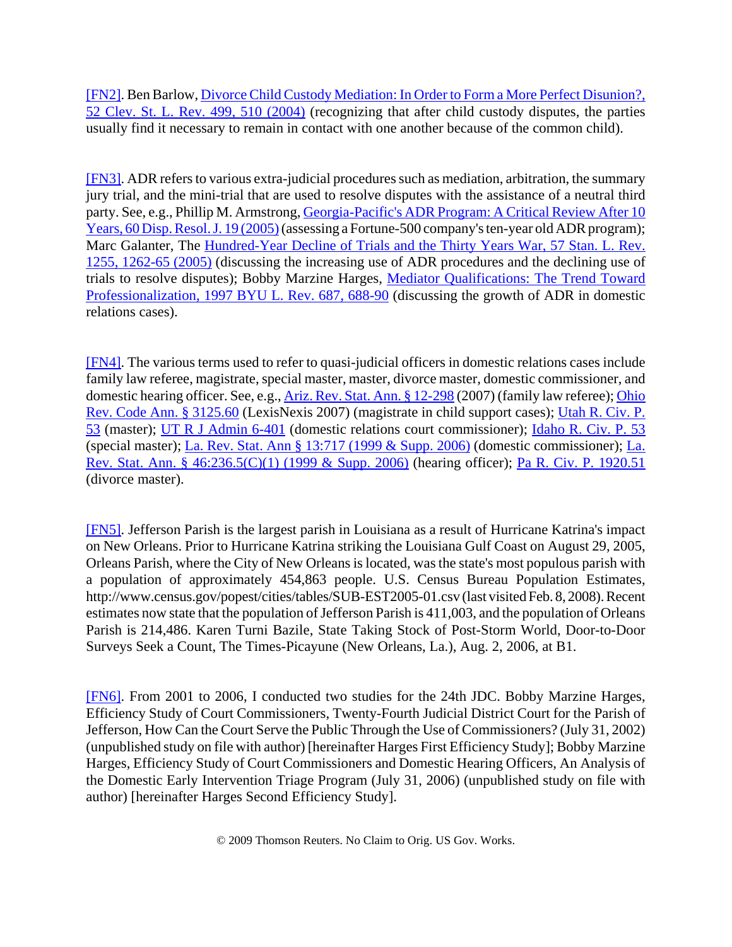[FN2]. Ben Barlow, Divorce Child Custody Mediation: In Order to Form a More Perfect Disunion?, 52 Clev. St. L. Rev. 499, 510 (2004) (recognizing that after child custody disputes, the parties usually find it necessary to remain in contact with one another because of the common child).

[FN3]. ADR refers to various extra-judicial procedures such as mediation, arbitration, the summary jury trial, and the mini-trial that are used to resolve disputes with the assistance of a neutral third party. See, e.g., Phillip M. Armstrong, Georgia-Pacific's ADR Program: A Critical Review After 10 Years, 60 Disp. Resol. J. 19 (2005) (assessing a Fortune-500 company's ten-year old ADR program); Marc Galanter, The Hundred-Year Decline of Trials and the Thirty Years War, 57 Stan. L. Rev. 1255, 1262-65 (2005) (discussing the increasing use of ADR procedures and the declining use of trials to resolve disputes); Bobby Marzine Harges, Mediator Qualifications: The Trend Toward Professionalization, 1997 BYU L. Rev. 687, 688-90 (discussing the growth of ADR in domestic relations cases).

[FN4]. The various terms used to refer to quasi-judicial officers in domestic relations cases include family law referee, magistrate, special master, master, divorce master, domestic commissioner, and domestic hearing officer. See, e.g., Ariz. Rev. Stat. Ann. § 12-298 (2007) (family law referee); Ohio Rev. Code Ann. § 3125.60 (LexisNexis 2007) (magistrate in child support cases); Utah R. Civ. P. 53 (master); UT R J Admin 6-401 (domestic relations court commissioner); Idaho R. Civ. P. 53 (special master); La. Rev. Stat. Ann § 13:717 (1999 & Supp. 2006) (domestic commissioner); La. Rev. Stat. Ann. § 46:236.5(C)(1) (1999 & Supp. 2006) (hearing officer); Pa R. Civ. P. 1920.51 (divorce master).

[FN5]. Jefferson Parish is the largest parish in Louisiana as a result of Hurricane Katrina's impact on New Orleans. Prior to Hurricane Katrina striking the Louisiana Gulf Coast on August 29, 2005, Orleans Parish, where the City of New Orleans is located, was the state's most populous parish with a population of approximately 454,863 people. U.S. Census Bureau Population Estimates, http://www.census.gov/popest/cities/tables/SUB-EST2005-01.csv (last visited Feb. 8, 2008). Recent estimates now state that the population of Jefferson Parish is 411,003, and the population of Orleans Parish is 214,486. Karen Turni Bazile, State Taking Stock of Post-Storm World, Door-to-Door Surveys Seek a Count, The Times-Picayune (New Orleans, La.), Aug. 2, 2006, at B1.

[FN6]. From 2001 to 2006, I conducted two studies for the 24th JDC. Bobby Marzine Harges, Efficiency Study of Court Commissioners, Twenty-Fourth Judicial District Court for the Parish of Jefferson, How Can the Court Serve the Public Through the Use of Commissioners? (July 31, 2002) (unpublished study on file with author) [hereinafter Harges First Efficiency Study]; Bobby Marzine Harges, Efficiency Study of Court Commissioners and Domestic Hearing Officers, An Analysis of the Domestic Early Intervention Triage Program (July 31, 2006) (unpublished study on file with author) [hereinafter Harges Second Efficiency Study].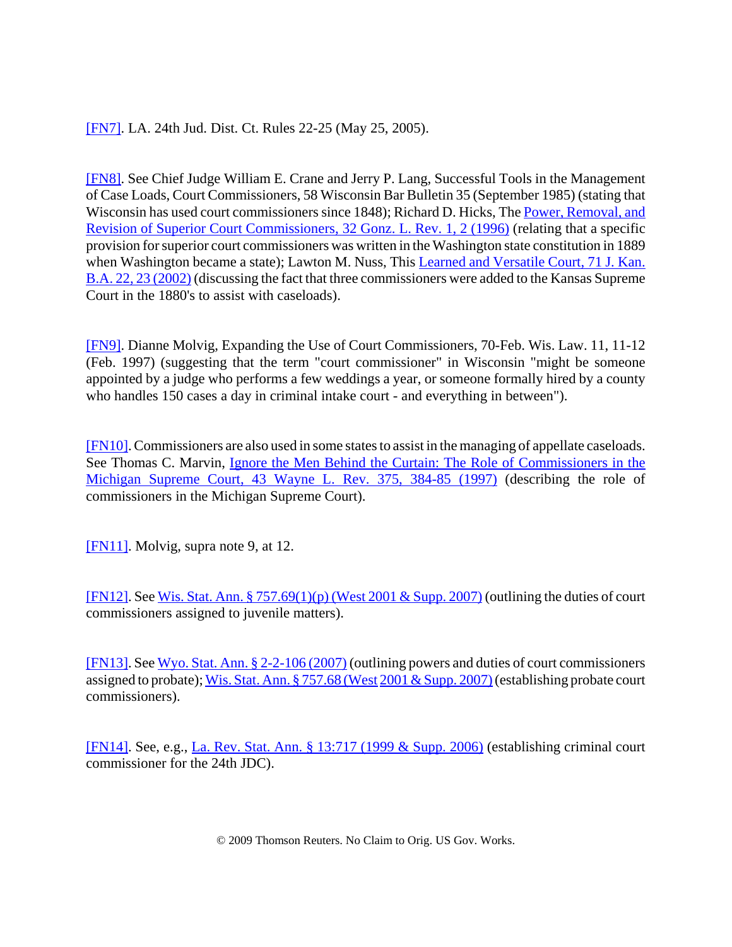# [FN7]. LA. 24th Jud. Dist. Ct. Rules 22-25 (May 25, 2005).

[FN8]. See Chief Judge William E. Crane and Jerry P. Lang, Successful Tools in the Management of Case Loads, Court Commissioners, 58 Wisconsin Bar Bulletin 35 (September 1985) (stating that Wisconsin has used court commissioners since 1848); Richard D. Hicks, The Power, Removal, and Revision of Superior Court Commissioners, 32 Gonz. L. Rev. 1, 2 (1996) (relating that a specific provision for superior court commissioners was written in the Washington state constitution in 1889 when Washington became a state); Lawton M. Nuss, This Learned and Versatile Court, 71 J. Kan. B.A. 22, 23 (2002) (discussing the fact that three commissioners were added to the Kansas Supreme Court in the 1880's to assist with caseloads).

[FN9]. Dianne Molvig, Expanding the Use of Court Commissioners, 70-Feb. Wis. Law. 11, 11-12 (Feb. 1997) (suggesting that the term "court commissioner" in Wisconsin "might be someone appointed by a judge who performs a few weddings a year, or someone formally hired by a county who handles 150 cases a day in criminal intake court - and everything in between").

[FN10]. Commissioners are also used in some states to assist in the managing of appellate caseloads. See Thomas C. Marvin, Ignore the Men Behind the Curtain: The Role of Commissioners in the Michigan Supreme Court, 43 Wayne L. Rev. 375, 384-85 (1997) (describing the role of commissioners in the Michigan Supreme Court).

[FN11]. Molvig, supra note 9, at 12.

[FN12]. See Wis. Stat. Ann. § 757.69(1)(p) (West 2001 & Supp. 2007) (outlining the duties of court commissioners assigned to juvenile matters).

[FN13]. See Wyo. Stat. Ann. § 2-2-106 (2007) (outlining powers and duties of court commissioners assigned to probate); Wis. Stat. Ann. § 757.68 (West 2001 & Supp. 2007) (establishing probate court commissioners).

[FN14]. See, e.g., La. Rev. Stat. Ann. § 13:717 (1999 & Supp. 2006) (establishing criminal court commissioner for the 24th JDC).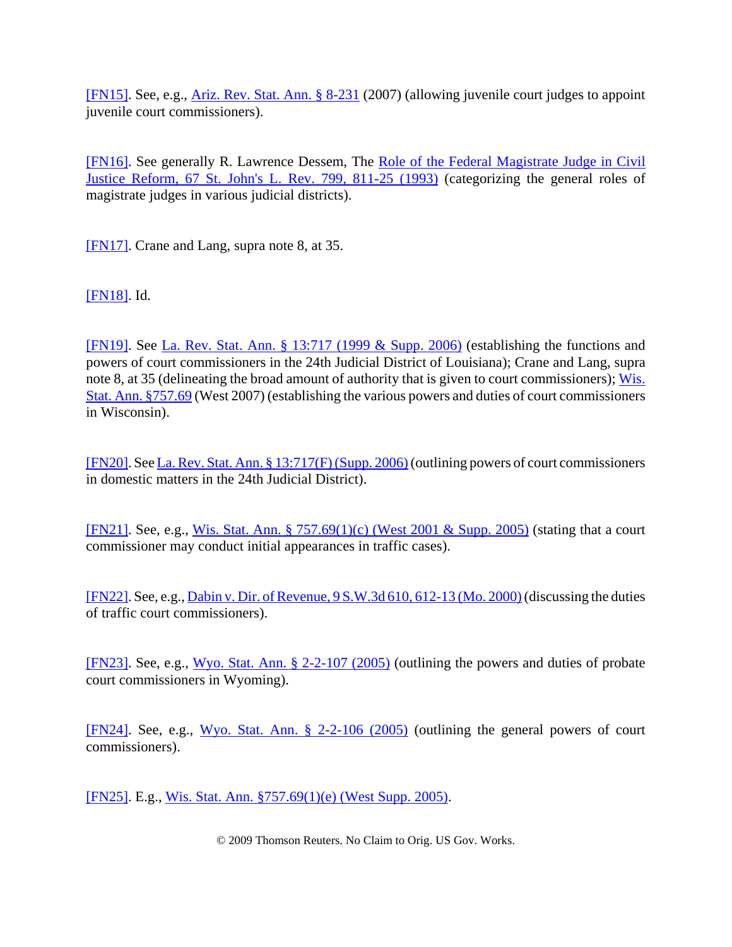[FN15]. See, e.g., Ariz. Rev. Stat. Ann. § 8-231 (2007) (allowing juvenile court judges to appoint juvenile court commissioners).

[FN16]. See generally R. Lawrence Dessem, The Role of the Federal Magistrate Judge in Civil Justice Reform, 67 St. John's L. Rev. 799, 811-25 (1993) (categorizing the general roles of magistrate judges in various judicial districts).

[FN17]. Crane and Lang, supra note 8, at 35.

[FN18]. Id.

[FN19]. See La. Rev. Stat. Ann. § 13:717 (1999 & Supp. 2006) (establishing the functions and powers of court commissioners in the 24th Judicial District of Louisiana); Crane and Lang, supra note 8, at 35 (delineating the broad amount of authority that is given to court commissioners); Wis. Stat. Ann. §757.69 (West 2007) (establishing the various powers and duties of court commissioners in Wisconsin).

[FN20]. See La. Rev. Stat. Ann. § 13:717(F) (Supp. 2006) (outlining powers of court commissioners in domestic matters in the 24th Judicial District).

[FN21]. See, e.g., Wis. Stat. Ann. § 757.69(1)(c) (West 2001 & Supp. 2005) (stating that a court commissioner may conduct initial appearances in traffic cases).

[FN22]. See, e.g., Dabin v. Dir. of Revenue, 9 S.W.3d 610, 612-13 (Mo. 2000) (discussing the duties of traffic court commissioners).

[FN23]. See, e.g., Wyo. Stat. Ann. § 2-2-107 (2005) (outlining the powers and duties of probate court commissioners in Wyoming).

[FN24]. See, e.g., Wyo. Stat. Ann. § 2-2-106 (2005) (outlining the general powers of court commissioners).

[FN25]. E.g., Wis. Stat. Ann. §757.69(1)(e) (West Supp. 2005).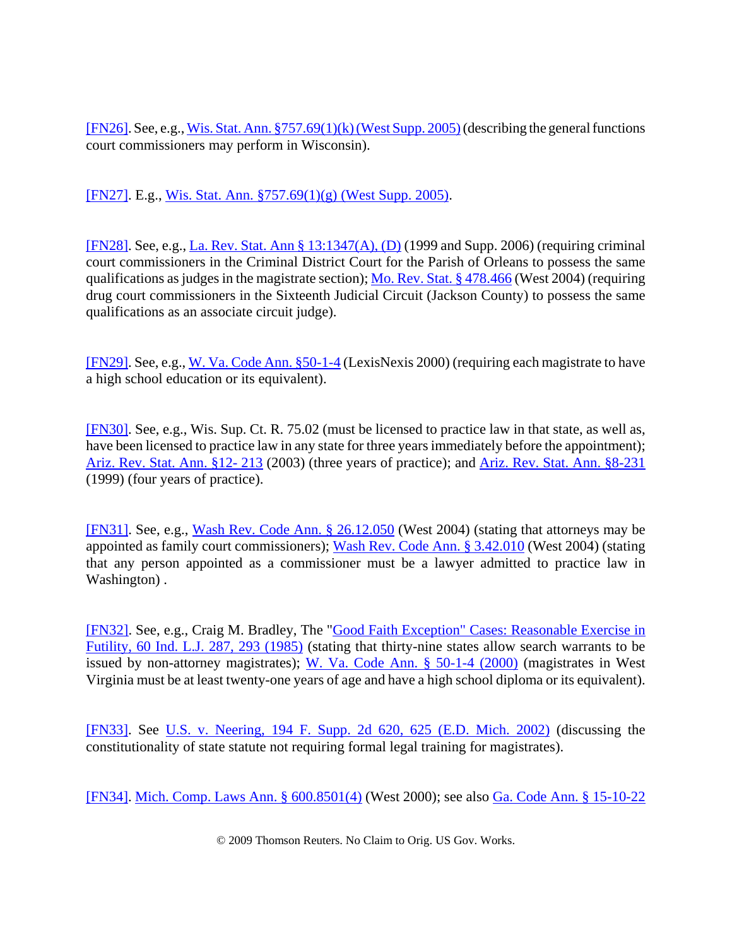[FN26]. See, e.g., Wis. Stat. Ann. §757.69(1)(k) (West Supp. 2005) (describing the general functions court commissioners may perform in Wisconsin).

[FN27]. E.g., Wis. Stat. Ann. §757.69(1)(g) (West Supp. 2005).

[FN28]. See, e.g., La. Rev. Stat. Ann § 13:1347(A), (D) (1999 and Supp. 2006) (requiring criminal court commissioners in the Criminal District Court for the Parish of Orleans to possess the same qualifications as judges in the magistrate section); Mo. Rev. Stat. § 478.466 (West 2004) (requiring drug court commissioners in the Sixteenth Judicial Circuit (Jackson County) to possess the same qualifications as an associate circuit judge).

[FN29]. See, e.g., W. Va. Code Ann. §50-1-4 (LexisNexis 2000) (requiring each magistrate to have a high school education or its equivalent).

[FN30]. See, e.g., Wis. Sup. Ct. R. 75.02 (must be licensed to practice law in that state, as well as, have been licensed to practice law in any state for three years immediately before the appointment); Ariz. Rev. Stat. Ann. §12- 213 (2003) (three years of practice); and Ariz. Rev. Stat. Ann. §8-231 (1999) (four years of practice).

[FN31]. See, e.g., Wash Rev. Code Ann. § 26.12.050 (West 2004) (stating that attorneys may be appointed as family court commissioners); Wash Rev. Code Ann. § 3.42.010 (West 2004) (stating that any person appointed as a commissioner must be a lawyer admitted to practice law in Washington) .

[FN32]. See, e.g., Craig M. Bradley, The "Good Faith Exception" Cases: Reasonable Exercise in Futility, 60 Ind. L.J. 287, 293 (1985) (stating that thirty-nine states allow search warrants to be issued by non-attorney magistrates); W. Va. Code Ann. § 50-1-4 (2000) (magistrates in West Virginia must be at least twenty-one years of age and have a high school diploma or its equivalent).

[FN33]. See U.S. v. Neering, 194 F. Supp. 2d 620, 625 (E.D. Mich. 2002) (discussing the constitutionality of state statute not requiring formal legal training for magistrates).

[FN34]. Mich. Comp. Laws Ann. § 600.8501(4) (West 2000); see also Ga. Code Ann. § 15-10-22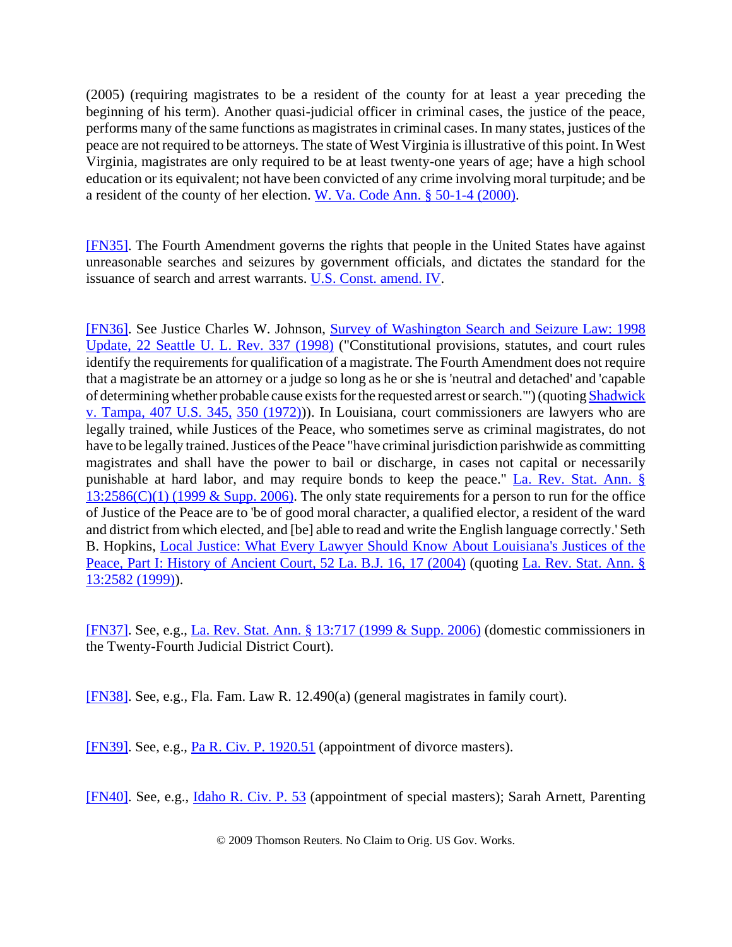(2005) (requiring magistrates to be a resident of the county for at least a year preceding the beginning of his term). Another quasi-judicial officer in criminal cases, the justice of the peace, performs many of the same functions as magistrates in criminal cases. In many states, justices of the peace are not required to be attorneys. The state of West Virginia is illustrative of this point. In West Virginia, magistrates are only required to be at least twenty-one years of age; have a high school education or its equivalent; not have been convicted of any crime involving moral turpitude; and be a resident of the county of her election. W. Va. Code Ann. § 50-1-4 (2000).

[FN35]. The Fourth Amendment governs the rights that people in the United States have against unreasonable searches and seizures by government officials, and dictates the standard for the issuance of search and arrest warrants. U.S. Const. amend. IV.

[FN36]. See Justice Charles W. Johnson, Survey of Washington Search and Seizure Law: 1998 Update, 22 Seattle U. L. Rev. 337 (1998) ("Constitutional provisions, statutes, and court rules identify the requirements for qualification of a magistrate. The Fourth Amendment does not require that a magistrate be an attorney or a judge so long as he or she is 'neutral and detached' and 'capable of determining whether probable cause exists for the requested arrest or search."') (quoting Shadwick v. Tampa, 407 U.S. 345, 350 (1972))). In Louisiana, court commissioners are lawyers who are legally trained, while Justices of the Peace, who sometimes serve as criminal magistrates, do not have to be legally trained. Justices of the Peace "have criminal jurisdiction parishwide as committing magistrates and shall have the power to bail or discharge, in cases not capital or necessarily punishable at hard labor, and may require bonds to keep the peace." La. Rev. Stat. Ann. §  $13:2586(C)(1)$  (1999 & Supp. 2006). The only state requirements for a person to run for the office of Justice of the Peace are to 'be of good moral character, a qualified elector, a resident of the ward and district from which elected, and [be] able to read and write the English language correctly.' Seth B. Hopkins, Local Justice: What Every Lawyer Should Know About Louisiana's Justices of the Peace, Part I: History of Ancient Court, 52 La. B.J. 16, 17 (2004) (quoting La. Rev. Stat. Ann. § 13:2582 (1999)).

[FN37]. See, e.g., La. Rev. Stat. Ann. § 13:717 (1999 & Supp. 2006) (domestic commissioners in the Twenty-Fourth Judicial District Court).

[FN38]. See, e.g., Fla. Fam. Law R. 12.490(a) (general magistrates in family court).

[FN39]. See, e.g., Pa R. Civ. P. 1920.51 (appointment of divorce masters).

[FN40]. See, e.g., Idaho R. Civ. P. 53 (appointment of special masters); Sarah Arnett, Parenting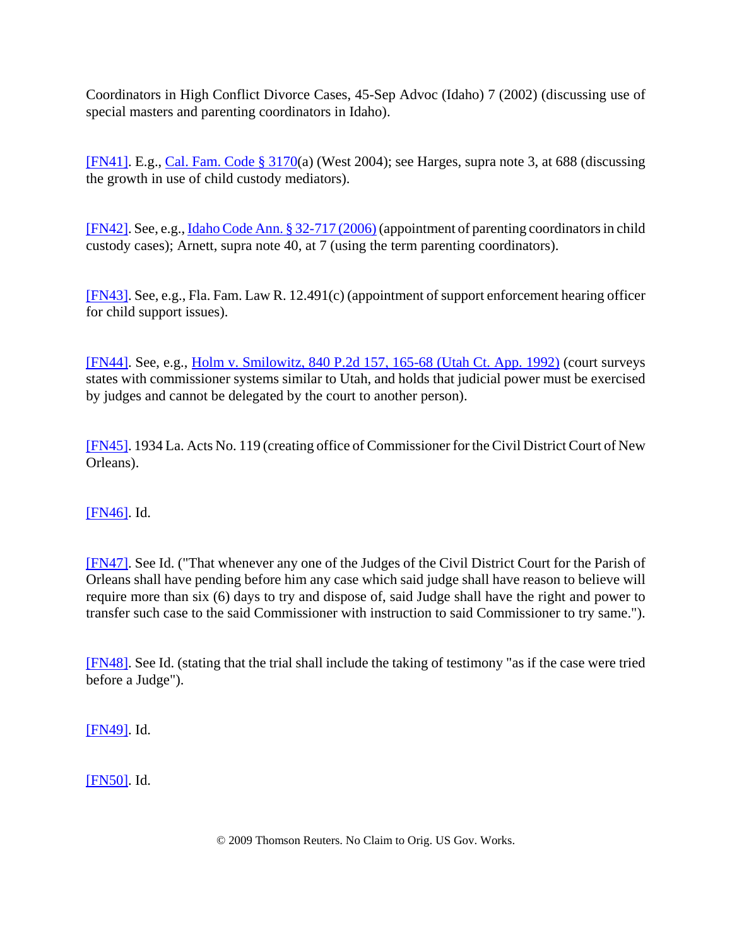Coordinators in High Conflict Divorce Cases, 45-Sep Advoc (Idaho) 7 (2002) (discussing use of special masters and parenting coordinators in Idaho).

[FN41]. E.g., Cal. Fam. Code § 3170(a) (West 2004); see Harges, supra note 3, at 688 (discussing the growth in use of child custody mediators).

[FN42]. See, e.g., Idaho Code Ann. § 32-717 (2006) (appointment of parenting coordinators in child custody cases); Arnett, supra note 40, at 7 (using the term parenting coordinators).

[FN43]. See, e.g., Fla. Fam. Law R. 12.491(c) (appointment of support enforcement hearing officer for child support issues).

[FN44]. See, e.g., Holm v. Smilowitz, 840 P.2d 157, 165-68 (Utah Ct. App. 1992) (court surveys states with commissioner systems similar to Utah, and holds that judicial power must be exercised by judges and cannot be delegated by the court to another person).

[FN45]. 1934 La. Acts No. 119 (creating office of Commissioner for the Civil District Court of New Orleans).

[FN46]. Id.

[FN47]. See Id. ("That whenever any one of the Judges of the Civil District Court for the Parish of Orleans shall have pending before him any case which said judge shall have reason to believe will require more than six (6) days to try and dispose of, said Judge shall have the right and power to transfer such case to the said Commissioner with instruction to said Commissioner to try same.").

[FN48]. See Id. (stating that the trial shall include the taking of testimony "as if the case were tried before a Judge").

[FN49]. Id.

[FN50]. Id.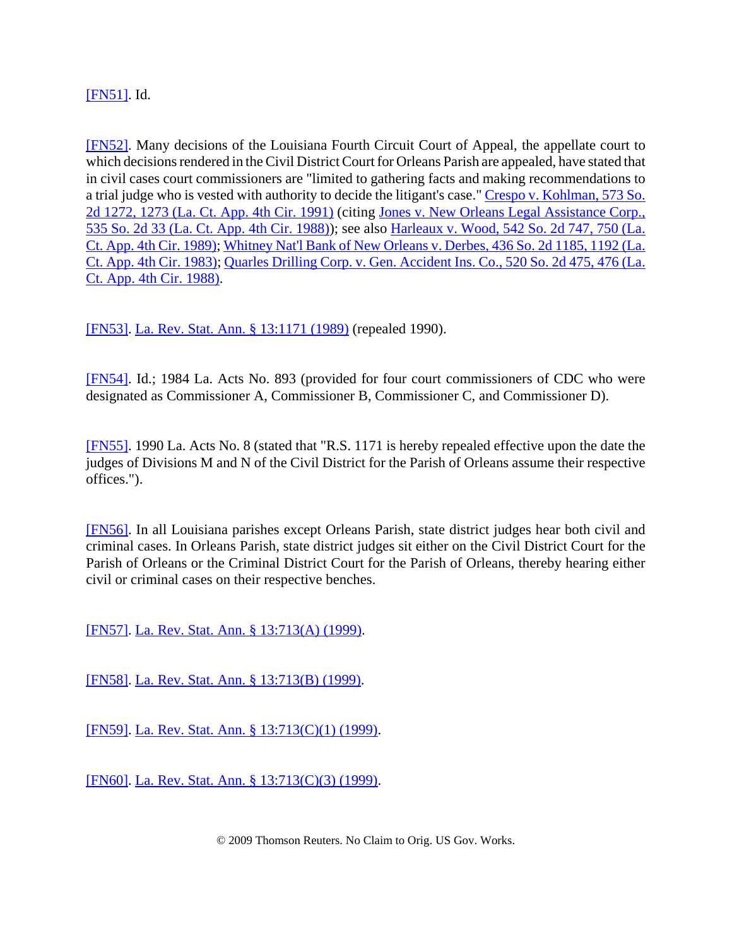# [FN51]. Id.

[FN52]. Many decisions of the Louisiana Fourth Circuit Court of Appeal, the appellate court to which decisions rendered in the Civil District Court for Orleans Parish are appealed, have stated that in civil cases court commissioners are "limited to gathering facts and making recommendations to a trial judge who is vested with authority to decide the litigant's case." Crespo v. Kohlman, 573 So. 2d 1272, 1273 (La. Ct. App. 4th Cir. 1991) (citing Jones v. New Orleans Legal Assistance Corp., 535 So. 2d 33 (La. Ct. App. 4th Cir. 1988)); see also Harleaux v. Wood, 542 So. 2d 747, 750 (La. Ct. App. 4th Cir. 1989); Whitney Nat'l Bank of New Orleans v. Derbes, 436 So. 2d 1185, 1192 (La. Ct. App. 4th Cir. 1983); Quarles Drilling Corp. v. Gen. Accident Ins. Co., 520 So. 2d 475, 476 (La. Ct. App. 4th Cir. 1988).

[FN53]. La. Rev. Stat. Ann. § 13:1171 (1989) (repealed 1990).

[FN54]. Id.; 1984 La. Acts No. 893 (provided for four court commissioners of CDC who were designated as Commissioner A, Commissioner B, Commissioner C, and Commissioner D).

[FN55]. 1990 La. Acts No. 8 (stated that "R.S. 1171 is hereby repealed effective upon the date the judges of Divisions M and N of the Civil District for the Parish of Orleans assume their respective offices.").

[FN56]. In all Louisiana parishes except Orleans Parish, state district judges hear both civil and criminal cases. In Orleans Parish, state district judges sit either on the Civil District Court for the Parish of Orleans or the Criminal District Court for the Parish of Orleans, thereby hearing either civil or criminal cases on their respective benches.

[FN57]. La. Rev. Stat. Ann. § 13:713(A) (1999).

[FN58]. La. Rev. Stat. Ann. § 13:713(B) (1999).

[FN59]. La. Rev. Stat. Ann. § 13:713(C)(1) (1999).

[FN60]. La. Rev. Stat. Ann. § 13:713(C)(3) (1999).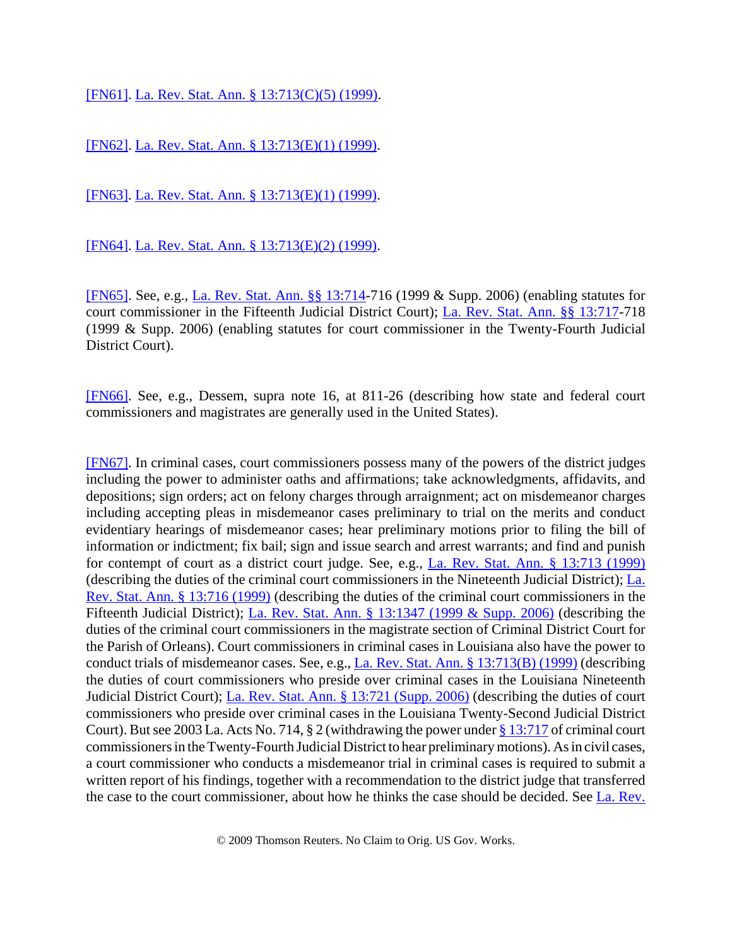[FN61]. La. Rev. Stat. Ann. § 13:713(C)(5) (1999).

[FN62]. La. Rev. Stat. Ann. § 13:713(E)(1) (1999).

[FN63]. La. Rev. Stat. Ann. § 13:713(E)(1) (1999).

[FN64]. La. Rev. Stat. Ann. § 13:713(E)(2) (1999).

[FN65]. See, e.g., La. Rev. Stat. Ann. §§ 13:714-716 (1999 & Supp. 2006) (enabling statutes for court commissioner in the Fifteenth Judicial District Court); La. Rev. Stat. Ann. §§ 13:717-718 (1999 & Supp. 2006) (enabling statutes for court commissioner in the Twenty-Fourth Judicial District Court).

[FN66]. See, e.g., Dessem, supra note 16, at 811-26 (describing how state and federal court commissioners and magistrates are generally used in the United States).

[FN67]. In criminal cases, court commissioners possess many of the powers of the district judges including the power to administer oaths and affirmations; take acknowledgments, affidavits, and depositions; sign orders; act on felony charges through arraignment; act on misdemeanor charges including accepting pleas in misdemeanor cases preliminary to trial on the merits and conduct evidentiary hearings of misdemeanor cases; hear preliminary motions prior to filing the bill of information or indictment; fix bail; sign and issue search and arrest warrants; and find and punish for contempt of court as a district court judge. See, e.g., La. Rev. Stat. Ann. § 13:713 (1999) (describing the duties of the criminal court commissioners in the Nineteenth Judicial District); La. Rev. Stat. Ann. § 13:716 (1999) (describing the duties of the criminal court commissioners in the Fifteenth Judicial District); La. Rev. Stat. Ann. § 13:1347 (1999 & Supp. 2006) (describing the duties of the criminal court commissioners in the magistrate section of Criminal District Court for the Parish of Orleans). Court commissioners in criminal cases in Louisiana also have the power to conduct trials of misdemeanor cases. See, e.g., La. Rev. Stat. Ann. § 13:713(B) (1999) (describing the duties of court commissioners who preside over criminal cases in the Louisiana Nineteenth Judicial District Court); La. Rev. Stat. Ann. § 13:721 (Supp. 2006) (describing the duties of court commissioners who preside over criminal cases in the Louisiana Twenty-Second Judicial District Court). But see 2003 La. Acts No. 714, § 2 (withdrawing the power under § 13:717 of criminal court commissioners in the Twenty-Fourth Judicial District to hear preliminary motions). As in civil cases, a court commissioner who conducts a misdemeanor trial in criminal cases is required to submit a written report of his findings, together with a recommendation to the district judge that transferred the case to the court commissioner, about how he thinks the case should be decided. See La. Rev.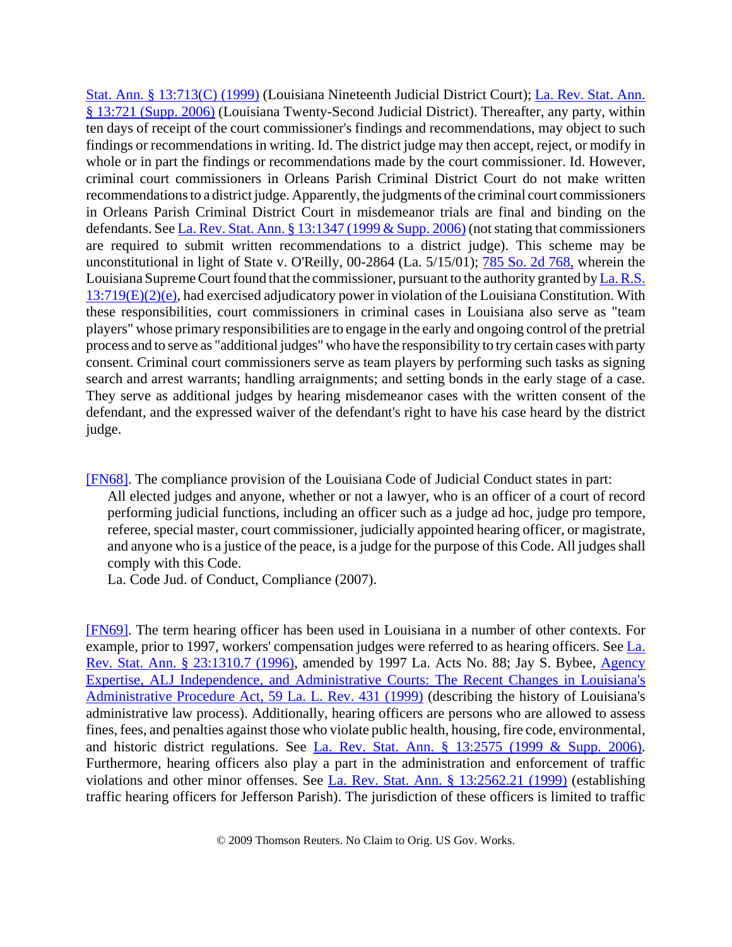Stat. Ann. § 13:713(C) (1999) (Louisiana Nineteenth Judicial District Court); La. Rev. Stat. Ann. § 13:721 (Supp. 2006) (Louisiana Twenty-Second Judicial District). Thereafter, any party, within ten days of receipt of the court commissioner's findings and recommendations, may object to such findings or recommendations in writing. Id. The district judge may then accept, reject, or modify in whole or in part the findings or recommendations made by the court commissioner. Id. However, criminal court commissioners in Orleans Parish Criminal District Court do not make written recommendations to a district judge. Apparently, the judgments of the criminal court commissioners in Orleans Parish Criminal District Court in misdemeanor trials are final and binding on the defendants. See La. Rev. Stat. Ann. § 13:1347 (1999 & Supp. 2006) (not stating that commissioners are required to submit written recommendations to a district judge). This scheme may be unconstitutional in light of State v. O'Reilly, 00-2864 (La. 5/15/01); 785 So. 2d 768, wherein the Louisiana Supreme Court found that the commissioner, pursuant to the authority granted by La. R.S. 13:719(E)(2)(e), had exercised adjudicatory power in violation of the Louisiana Constitution. With these responsibilities, court commissioners in criminal cases in Louisiana also serve as "team players" whose primary responsibilities are to engage in the early and ongoing control of the pretrial process and to serve as "additional judges" who have the responsibility to try certain cases with party consent. Criminal court commissioners serve as team players by performing such tasks as signing search and arrest warrants; handling arraignments; and setting bonds in the early stage of a case. They serve as additional judges by hearing misdemeanor cases with the written consent of the defendant, and the expressed waiver of the defendant's right to have his case heard by the district judge.

[FN68]. The compliance provision of the Louisiana Code of Judicial Conduct states in part: All elected judges and anyone, whether or not a lawyer, who is an officer of a court of record performing judicial functions, including an officer such as a judge ad hoc, judge pro tempore, referee, special master, court commissioner, judicially appointed hearing officer, or magistrate, and anyone who is a justice of the peace, is a judge for the purpose of this Code. All judges shall comply with this Code.

La. Code Jud. of Conduct, Compliance (2007).

[FN69]. The term hearing officer has been used in Louisiana in a number of other contexts. For example, prior to 1997, workers' compensation judges were referred to as hearing officers. See La. Rev. Stat. Ann. § 23:1310.7 (1996), amended by 1997 La. Acts No. 88; Jay S. Bybee, Agency Expertise, ALJ Independence, and Administrative Courts: The Recent Changes in Louisiana's Administrative Procedure Act, 59 La. L. Rev. 431 (1999) (describing the history of Louisiana's administrative law process). Additionally, hearing officers are persons who are allowed to assess fines, fees, and penalties against those who violate public health, housing, fire code, environmental, and historic district regulations. See La. Rev. Stat. Ann. § 13:2575 (1999 & Supp. 2006). Furthermore, hearing officers also play a part in the administration and enforcement of traffic violations and other minor offenses. See La. Rev. Stat. Ann. § 13:2562.21 (1999) (establishing traffic hearing officers for Jefferson Parish). The jurisdiction of these officers is limited to traffic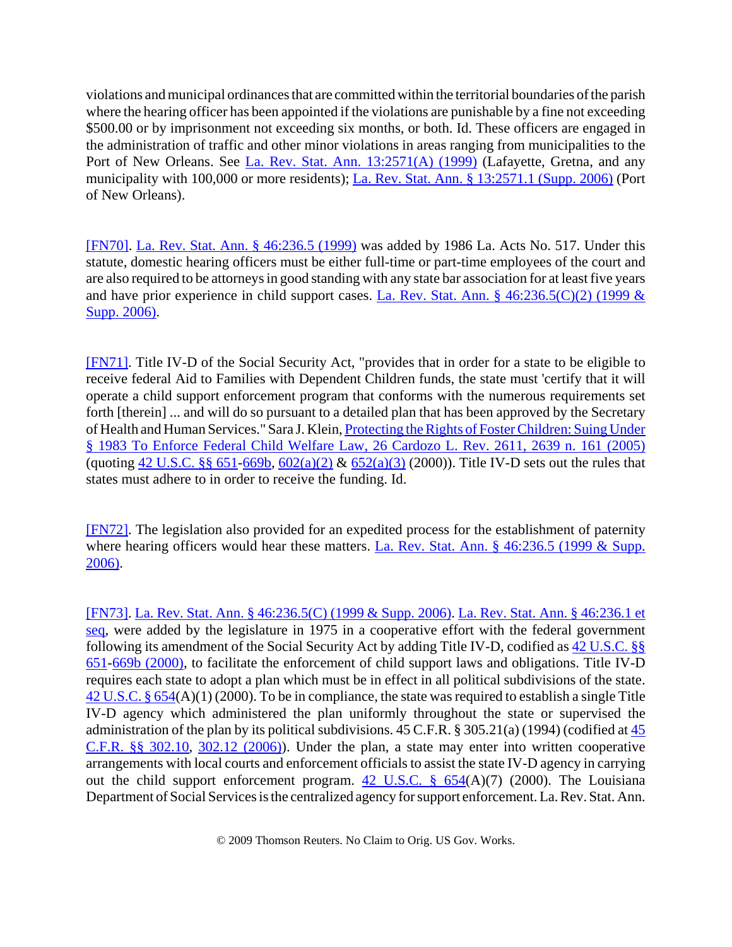violations and municipal ordinances that are committed within the territorial boundaries of the parish where the hearing officer has been appointed if the violations are punishable by a fine not exceeding \$500.00 or by imprisonment not exceeding six months, or both. Id. These officers are engaged in the administration of traffic and other minor violations in areas ranging from municipalities to the Port of New Orleans. See La. Rev. Stat. Ann. 13:2571(A) (1999) (Lafayette, Gretna, and any municipality with 100,000 or more residents); La. Rev. Stat. Ann. § 13:2571.1 (Supp. 2006) (Port of New Orleans).

[FN70]. La. Rev. Stat. Ann. § 46:236.5 (1999) was added by 1986 La. Acts No. 517. Under this statute, domestic hearing officers must be either full-time or part-time employees of the court and are also required to be attorneys in good standing with any state bar association for at least five years and have prior experience in child support cases. La. Rev. Stat. Ann. § 46:236.5(C)(2) (1999 & Supp. 2006).

[FN71]. Title IV-D of the Social Security Act, "provides that in order for a state to be eligible to receive federal Aid to Families with Dependent Children funds, the state must 'certify that it will operate a child support enforcement program that conforms with the numerous requirements set forth [therein] ... and will do so pursuant to a detailed plan that has been approved by the Secretary of Health and Human Services." Sara J. Klein, Protecting the Rights of Foster Children: Suing Under § 1983 To Enforce Federal Child Welfare Law, 26 Cardozo L. Rev. 2611, 2639 n. 161 (2005) (quoting 42 U.S.C. §§ 651-669b, 602(a)(2) & 652(a)(3) (2000)). Title IV-D sets out the rules that states must adhere to in order to receive the funding. Id.

[FN72]. The legislation also provided for an expedited process for the establishment of paternity where hearing officers would hear these matters. La. Rev. Stat. Ann. § 46:236.5 (1999 & Supp. 2006).

[FN73]. La. Rev. Stat. Ann. § 46:236.5(C) (1999 & Supp. 2006). La. Rev. Stat. Ann. § 46:236.1 et seq, were added by the legislature in 1975 in a cooperative effort with the federal government following its amendment of the Social Security Act by adding Title IV-D, codified as 42 U.S.C. §§ 651-669b (2000), to facilitate the enforcement of child support laws and obligations. Title IV-D requires each state to adopt a plan which must be in effect in all political subdivisions of the state. 42 U.S.C. § 654(A)(1) (2000). To be in compliance, the state was required to establish a single Title IV-D agency which administered the plan uniformly throughout the state or supervised the administration of the plan by its political subdivisions. 45 C.F.R. § 305.21(a) (1994) (codified at 45 C.F.R. §§ 302.10, 302.12 (2006)). Under the plan, a state may enter into written cooperative arrangements with local courts and enforcement officials to assist the state IV-D agency in carrying out the child support enforcement program.  $42 \text{ U.S.C.}$  §  $654(A)(7)$  (2000). The Louisiana Department of Social Services is the centralized agency for support enforcement. La. Rev. Stat. Ann.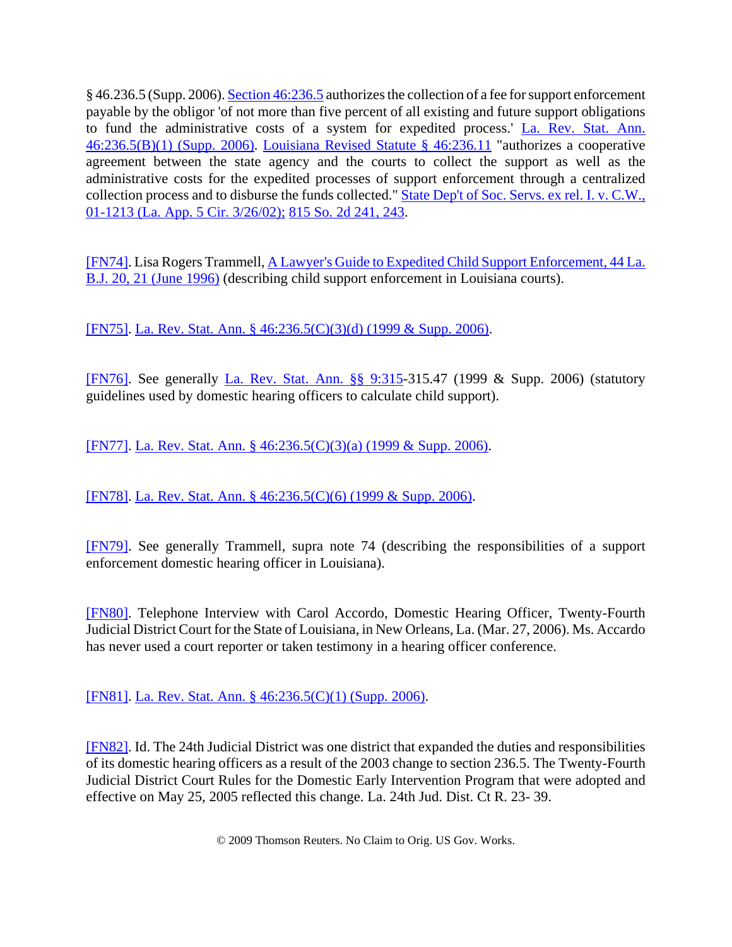§ 46.236.5 (Supp. 2006). Section 46:236.5 authorizes the collection of a fee for support enforcement payable by the obligor 'of not more than five percent of all existing and future support obligations to fund the administrative costs of a system for expedited process.' La. Rev. Stat. Ann. 46:236.5(B)(1) (Supp. 2006). Louisiana Revised Statute § 46:236.11 "authorizes a cooperative agreement between the state agency and the courts to collect the support as well as the administrative costs for the expedited processes of support enforcement through a centralized collection process and to disburse the funds collected." State Dep't of Soc. Servs. ex rel. I. v. C.W., 01-1213 (La. App. 5 Cir. 3/26/02); 815 So. 2d 241, 243.

[FN74]. Lisa Rogers Trammell, A Lawyer's Guide to Expedited Child Support Enforcement, 44 La. B.J. 20, 21 (June 1996) (describing child support enforcement in Louisiana courts).

[FN75]. La. Rev. Stat. Ann. § 46:236.5(C)(3)(d) (1999 & Supp. 2006).

[FN76]. See generally La. Rev. Stat. Ann. §§ 9:315-315.47 (1999 & Supp. 2006) (statutory guidelines used by domestic hearing officers to calculate child support).

[FN77]. La. Rev. Stat. Ann. § 46:236.5(C)(3)(a) (1999 & Supp. 2006).

[FN78]. La. Rev. Stat. Ann. § 46:236.5(C)(6) (1999 & Supp. 2006).

[FN79]. See generally Trammell, supra note 74 (describing the responsibilities of a support enforcement domestic hearing officer in Louisiana).

[FN80]. Telephone Interview with Carol Accordo, Domestic Hearing Officer, Twenty-Fourth Judicial District Court for the State of Louisiana, in New Orleans, La. (Mar. 27, 2006). Ms. Accardo has never used a court reporter or taken testimony in a hearing officer conference.

[FN81]. La. Rev. Stat. Ann. § 46:236.5(C)(1) (Supp. 2006).

[FN82]. Id. The 24th Judicial District was one district that expanded the duties and responsibilities of its domestic hearing officers as a result of the 2003 change to section 236.5. The Twenty-Fourth Judicial District Court Rules for the Domestic Early Intervention Program that were adopted and effective on May 25, 2005 reflected this change. La. 24th Jud. Dist. Ct R. 23- 39.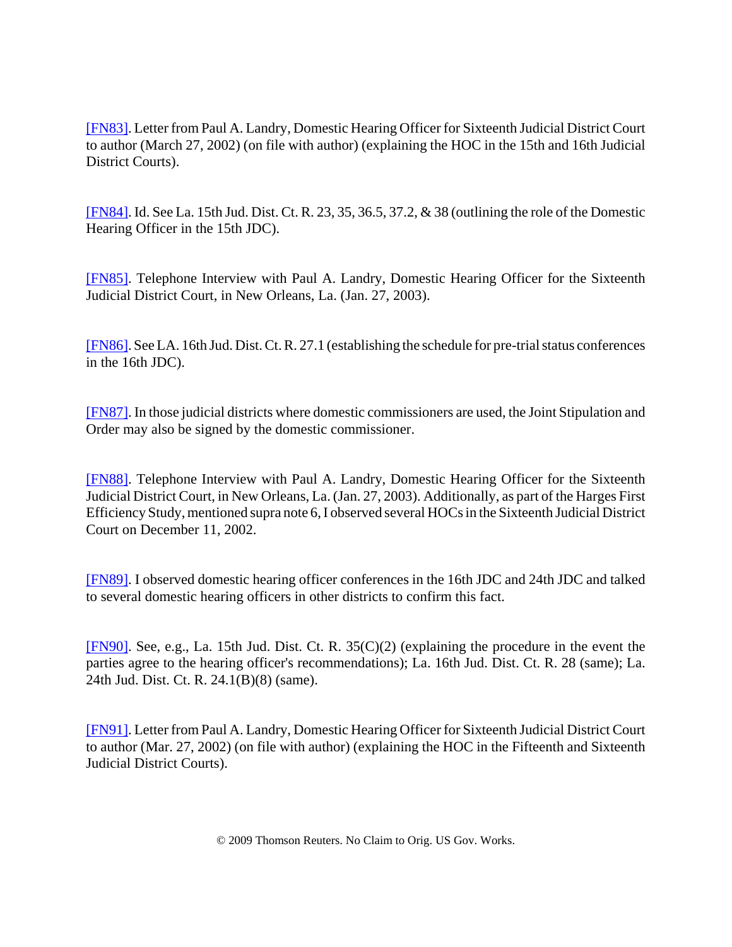[FN83]. Letter from Paul A. Landry, Domestic Hearing Officer for Sixteenth Judicial District Court to author (March 27, 2002) (on file with author) (explaining the HOC in the 15th and 16th Judicial District Courts).

[FN84]. Id. See La. 15th Jud. Dist. Ct. R. 23, 35, 36.5, 37.2, & 38 (outlining the role of the Domestic Hearing Officer in the 15th JDC).

[FN85]. Telephone Interview with Paul A. Landry, Domestic Hearing Officer for the Sixteenth Judicial District Court, in New Orleans, La. (Jan. 27, 2003).

[FN86]. See LA. 16th Jud. Dist. Ct. R. 27.1 (establishing the schedule for pre-trial status conferences in the 16th JDC).

[FN87]. In those judicial districts where domestic commissioners are used, the Joint Stipulation and Order may also be signed by the domestic commissioner.

[FN88]. Telephone Interview with Paul A. Landry, Domestic Hearing Officer for the Sixteenth Judicial District Court, in New Orleans, La. (Jan. 27, 2003). Additionally, as part of the Harges First Efficiency Study, mentioned supra note 6, I observed several HOCs in the Sixteenth Judicial District Court on December 11, 2002.

[FN89]. I observed domestic hearing officer conferences in the 16th JDC and 24th JDC and talked to several domestic hearing officers in other districts to confirm this fact.

[FN90]. See, e.g., La. 15th Jud. Dist. Ct. R. 35(C)(2) (explaining the procedure in the event the parties agree to the hearing officer's recommendations); La. 16th Jud. Dist. Ct. R. 28 (same); La. 24th Jud. Dist. Ct. R. 24.1(B)(8) (same).

[FN91]. Letter from Paul A. Landry, Domestic Hearing Officer for Sixteenth Judicial District Court to author (Mar. 27, 2002) (on file with author) (explaining the HOC in the Fifteenth and Sixteenth Judicial District Courts).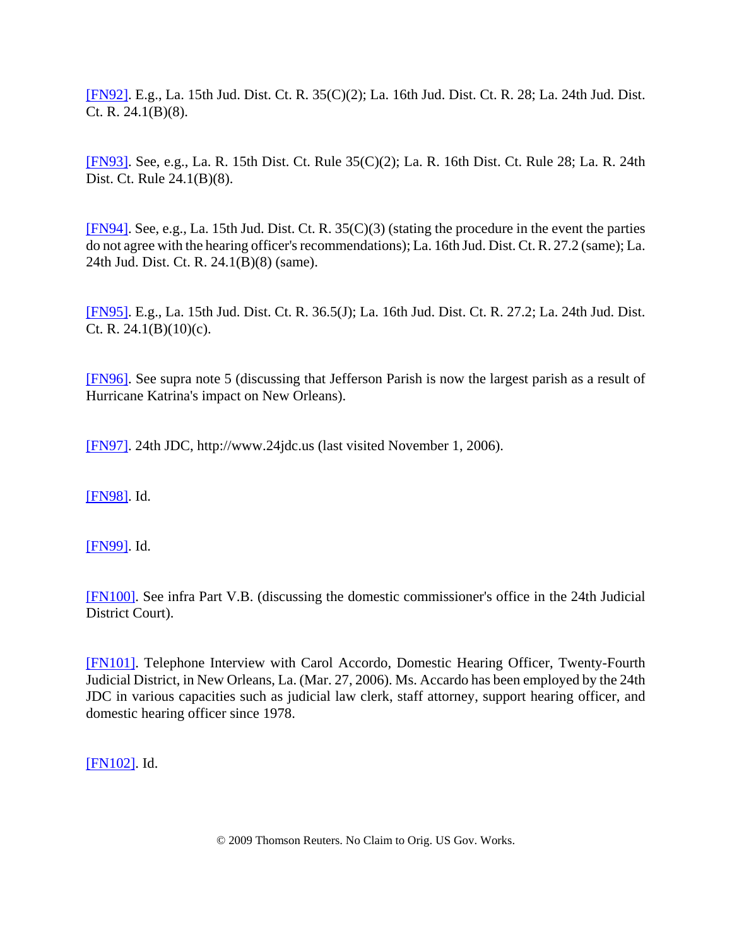[FN92]. E.g., La. 15th Jud. Dist. Ct. R. 35(C)(2); La. 16th Jud. Dist. Ct. R. 28; La. 24th Jud. Dist. Ct. R. 24.1(B)(8).

[FN93]. See, e.g., La. R. 15th Dist. Ct. Rule 35(C)(2); La. R. 16th Dist. Ct. Rule 28; La. R. 24th Dist. Ct. Rule 24.1(B)(8).

[FN94]. See, e.g., La. 15th Jud. Dist. Ct. R. 35(C)(3) (stating the procedure in the event the parties do not agree with the hearing officer's recommendations); La. 16th Jud. Dist. Ct. R. 27.2 (same); La. 24th Jud. Dist. Ct. R. 24.1(B)(8) (same).

[FN95]. E.g., La. 15th Jud. Dist. Ct. R. 36.5(J); La. 16th Jud. Dist. Ct. R. 27.2; La. 24th Jud. Dist. Ct. R.  $24.1(B)(10)(c)$ .

[FN96]. See supra note 5 (discussing that Jefferson Parish is now the largest parish as a result of Hurricane Katrina's impact on New Orleans).

[FN97]. 24th JDC, http://www.24jdc.us (last visited November 1, 2006).

[FN98]. Id.

[FN99]. Id.

[FN100]. See infra Part V.B. (discussing the domestic commissioner's office in the 24th Judicial District Court).

[FN101]. Telephone Interview with Carol Accordo, Domestic Hearing Officer, Twenty-Fourth Judicial District, in New Orleans, La. (Mar. 27, 2006). Ms. Accardo has been employed by the 24th JDC in various capacities such as judicial law clerk, staff attorney, support hearing officer, and domestic hearing officer since 1978.

[FN102]. Id.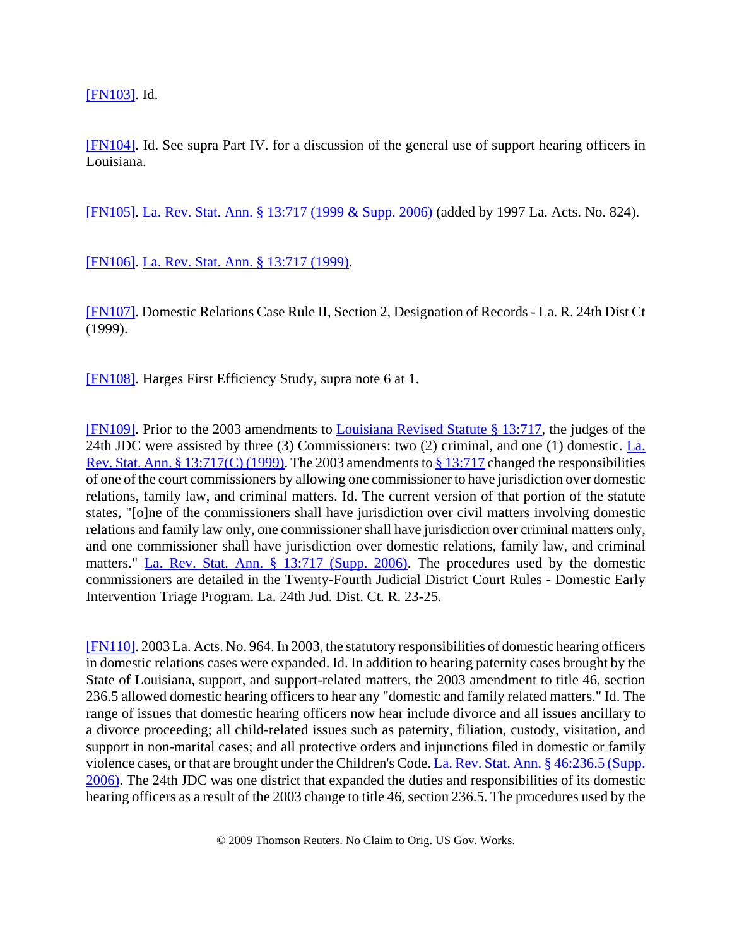[FN103]. Id.

[FN104]. Id. See supra Part IV. for a discussion of the general use of support hearing officers in Louisiana.

[FN105]. La. Rev. Stat. Ann. § 13:717 (1999 & Supp. 2006) (added by 1997 La. Acts. No. 824).

[FN106]. La. Rev. Stat. Ann. § 13:717 (1999).

[FN107]. Domestic Relations Case Rule II, Section 2, Designation of Records - La. R. 24th Dist Ct (1999).

[FN108]. Harges First Efficiency Study, supra note 6 at 1.

[FN109]. Prior to the 2003 amendments to Louisiana Revised Statute § 13:717, the judges of the 24th JDC were assisted by three (3) Commissioners: two (2) criminal, and one (1) domestic. La. Rev. Stat. Ann. § 13:717(C) (1999). The 2003 amendments to § 13:717 changed the responsibilities of one of the court commissioners by allowing one commissioner to have jurisdiction over domestic relations, family law, and criminal matters. Id. The current version of that portion of the statute states, "[o]ne of the commissioners shall have jurisdiction over civil matters involving domestic relations and family law only, one commissioner shall have jurisdiction over criminal matters only, and one commissioner shall have jurisdiction over domestic relations, family law, and criminal matters." La. Rev. Stat. Ann. § 13:717 (Supp. 2006). The procedures used by the domestic commissioners are detailed in the Twenty-Fourth Judicial District Court Rules - Domestic Early Intervention Triage Program. La. 24th Jud. Dist. Ct. R. 23-25.

[FN110]. 2003 La. Acts. No. 964. In 2003, the statutory responsibilities of domestic hearing officers in domestic relations cases were expanded. Id. In addition to hearing paternity cases brought by the State of Louisiana, support, and support-related matters, the 2003 amendment to title 46, section 236.5 allowed domestic hearing officers to hear any "domestic and family related matters." Id. The range of issues that domestic hearing officers now hear include divorce and all issues ancillary to a divorce proceeding; all child-related issues such as paternity, filiation, custody, visitation, and support in non-marital cases; and all protective orders and injunctions filed in domestic or family violence cases, or that are brought under the Children's Code. La. Rev. Stat. Ann. § 46:236.5 (Supp. 2006). The 24th JDC was one district that expanded the duties and responsibilities of its domestic hearing officers as a result of the 2003 change to title 46, section 236.5. The procedures used by the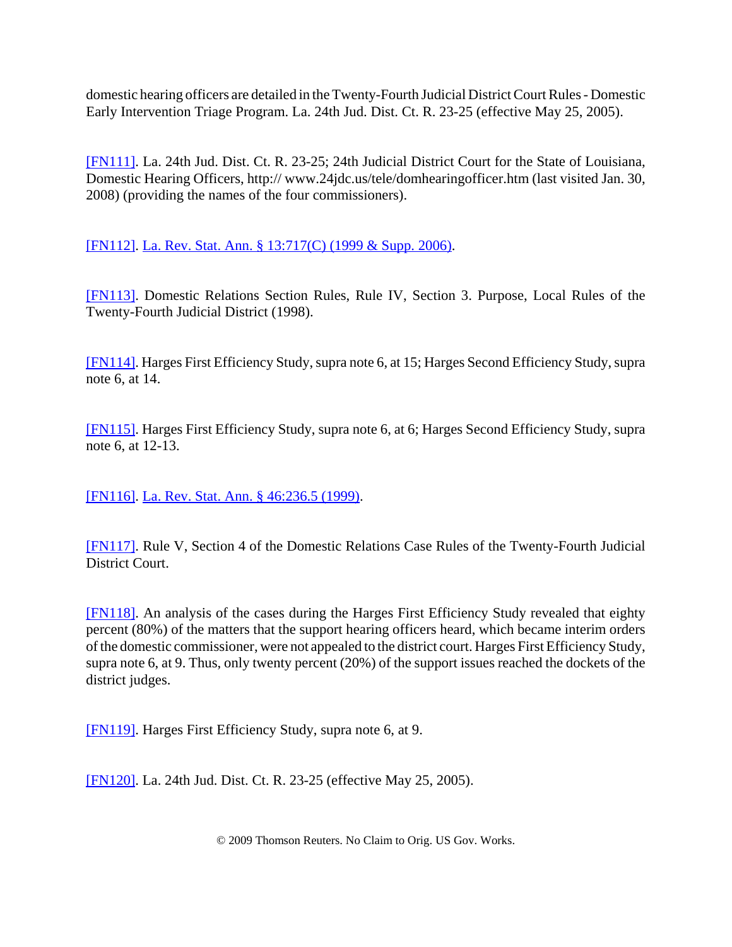domestic hearing officers are detailed in the Twenty-Fourth Judicial District Court Rules - Domestic Early Intervention Triage Program. La. 24th Jud. Dist. Ct. R. 23-25 (effective May 25, 2005).

[FN111]. La. 24th Jud. Dist. Ct. R. 23-25; 24th Judicial District Court for the State of Louisiana, Domestic Hearing Officers, http:// www.24jdc.us/tele/domhearingofficer.htm (last visited Jan. 30, 2008) (providing the names of the four commissioners).

[FN112]. La. Rev. Stat. Ann. § 13:717(C) (1999 & Supp. 2006).

[FN113]. Domestic Relations Section Rules, Rule IV, Section 3. Purpose, Local Rules of the Twenty-Fourth Judicial District (1998).

[FN114]. Harges First Efficiency Study, supra note 6, at 15; Harges Second Efficiency Study, supra note 6, at 14.

[FN115]. Harges First Efficiency Study, supra note 6, at 6; Harges Second Efficiency Study, supra note 6, at 12-13.

[FN116]. La. Rev. Stat. Ann. § 46:236.5 (1999).

[FN117]. Rule V, Section 4 of the Domestic Relations Case Rules of the Twenty-Fourth Judicial District Court.

[FN118]. An analysis of the cases during the Harges First Efficiency Study revealed that eighty percent (80%) of the matters that the support hearing officers heard, which became interim orders of the domestic commissioner, were not appealed to the district court. Harges First Efficiency Study, supra note 6, at 9. Thus, only twenty percent (20%) of the support issues reached the dockets of the district judges.

[FN119]. Harges First Efficiency Study, supra note 6, at 9.

[FN120]. La. 24th Jud. Dist. Ct. R. 23-25 (effective May 25, 2005).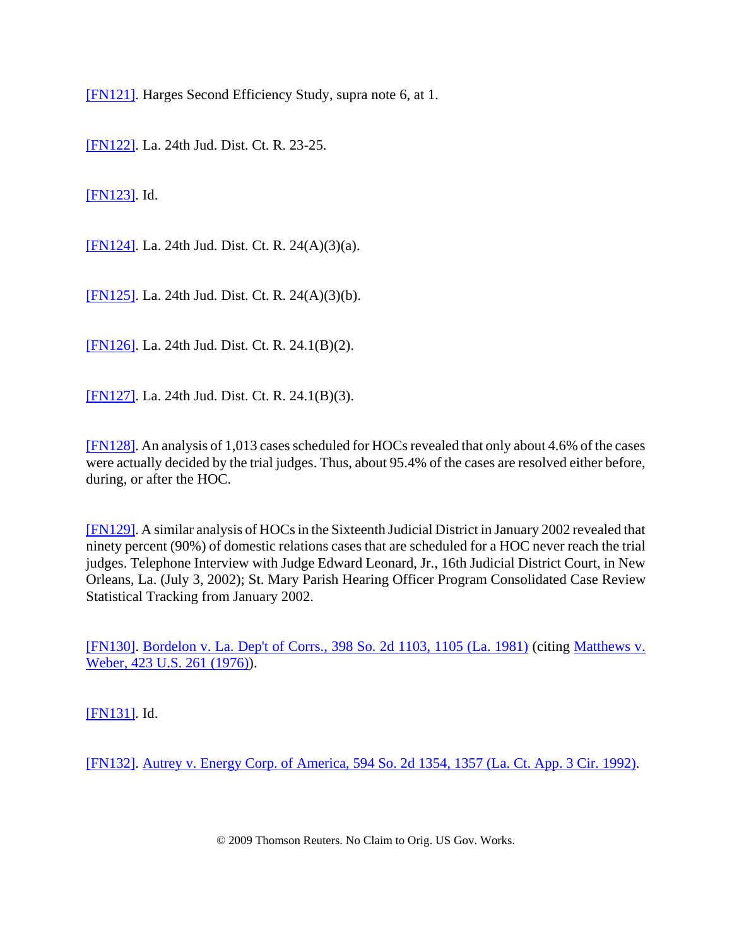[FN121]. Harges Second Efficiency Study, supra note 6, at 1.

[FN122]. La. 24th Jud. Dist. Ct. R. 23-25.

[FN123]. Id.

[FN124]. La. 24th Jud. Dist. Ct. R. 24(A)(3)(a).

[FN125]. La. 24th Jud. Dist. Ct. R. 24(A)(3)(b).

[FN126]. La. 24th Jud. Dist. Ct. R. 24.1(B)(2).

[FN127]. La. 24th Jud. Dist. Ct. R. 24.1(B)(3).

[FN128]. An analysis of 1,013 cases scheduled for HOCs revealed that only about 4.6% of the cases were actually decided by the trial judges. Thus, about 95.4% of the cases are resolved either before, during, or after the HOC.

[FN129]. A similar analysis of HOCs in the Sixteenth Judicial District in January 2002 revealed that ninety percent (90%) of domestic relations cases that are scheduled for a HOC never reach the trial judges. Telephone Interview with Judge Edward Leonard, Jr., 16th Judicial District Court, in New Orleans, La. (July 3, 2002); St. Mary Parish Hearing Officer Program Consolidated Case Review Statistical Tracking from January 2002.

[FN130]. Bordelon v. La. Dep't of Corrs., 398 So. 2d 1103, 1105 (La. 1981) (citing Matthews v. Weber, 423 U.S. 261 (1976)).

[FN131]. Id.

[FN132]. Autrey v. Energy Corp. of America, 594 So. 2d 1354, 1357 (La. Ct. App. 3 Cir. 1992).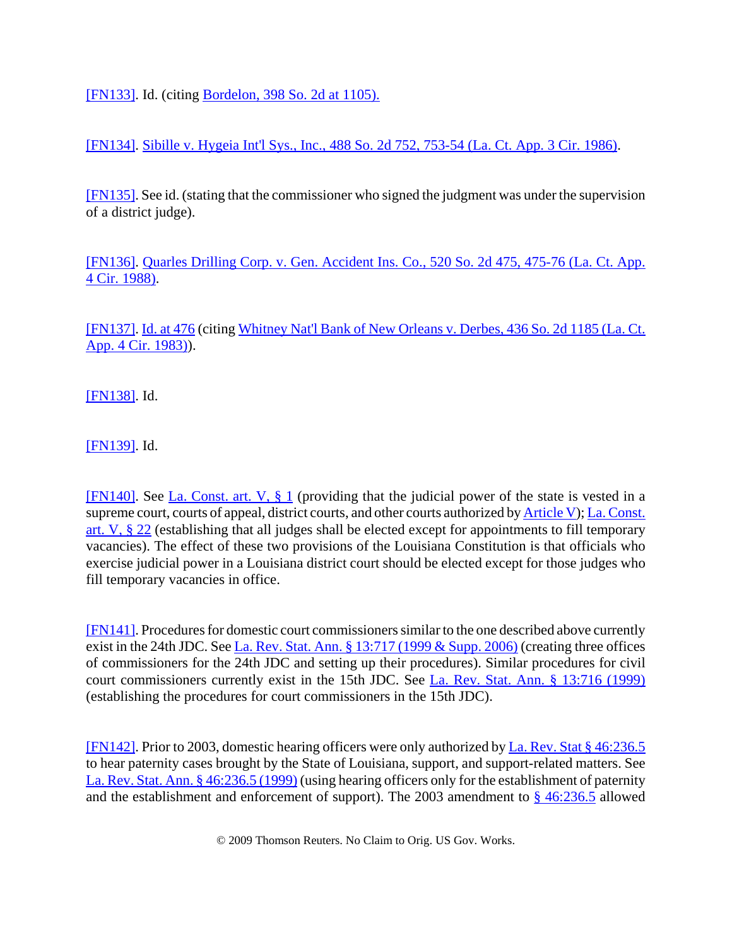[FN133]. Id. (citing Bordelon, 398 So. 2d at 1105).

[FN134]. Sibille v. Hygeia Int'l Sys., Inc., 488 So. 2d 752, 753-54 (La. Ct. App. 3 Cir. 1986).

[FN135]. See id. (stating that the commissioner who signed the judgment was under the supervision of a district judge).

[FN136]. Quarles Drilling Corp. v. Gen. Accident Ins. Co., 520 So. 2d 475, 475-76 (La. Ct. App. 4 Cir. 1988).

[FN137]. Id. at 476 (citing Whitney Nat'l Bank of New Orleans v. Derbes, 436 So. 2d 1185 (La. Ct. App. 4 Cir. 1983)).

[FN138]. Id.

[FN139]. Id.

[FN140]. See La. Const. art. V, § 1 (providing that the judicial power of the state is vested in a supreme court, courts of appeal, district courts, and other courts authorized by **Article V**); La. Const. art. V, § 22 (establishing that all judges shall be elected except for appointments to fill temporary vacancies). The effect of these two provisions of the Louisiana Constitution is that officials who exercise judicial power in a Louisiana district court should be elected except for those judges who fill temporary vacancies in office.

[FN141]. Procedures for domestic court commissioners similar to the one described above currently exist in the 24th JDC. See La. Rev. Stat. Ann. § 13:717 (1999 & Supp. 2006) (creating three offices of commissioners for the 24th JDC and setting up their procedures). Similar procedures for civil court commissioners currently exist in the 15th JDC. See La. Rev. Stat. Ann. § 13:716 (1999) (establishing the procedures for court commissioners in the 15th JDC).

[FN142]. Prior to 2003, domestic hearing officers were only authorized by La. Rev. Stat § 46:236.5 to hear paternity cases brought by the State of Louisiana, support, and support-related matters. See La. Rev. Stat. Ann. § 46:236.5 (1999) (using hearing officers only for the establishment of paternity and the establishment and enforcement of support). The 2003 amendment to § 46:236.5 allowed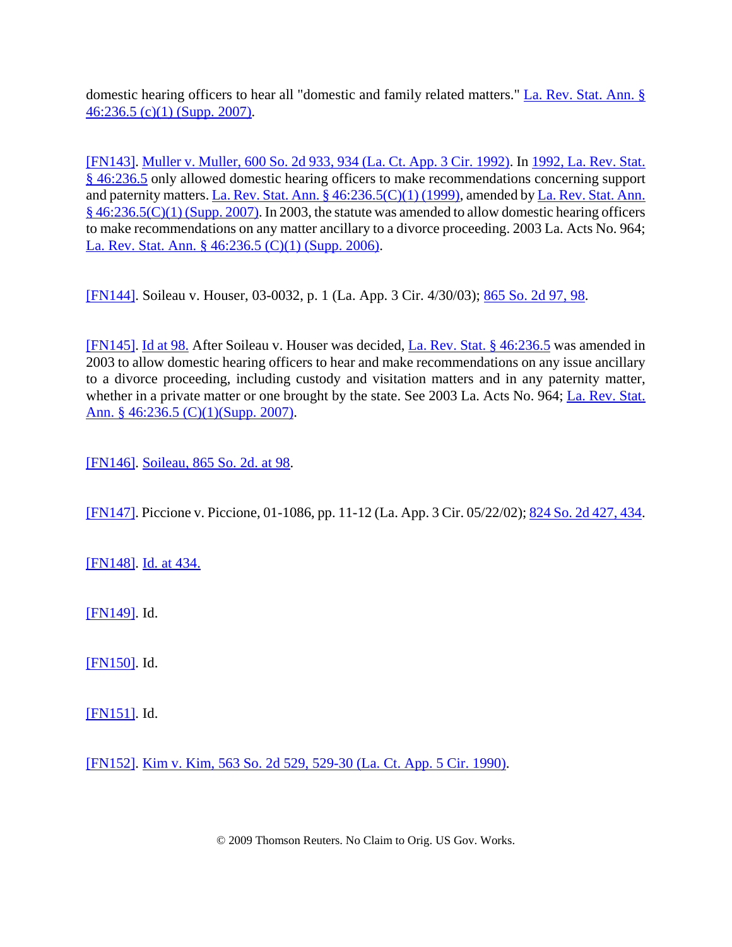domestic hearing officers to hear all "domestic and family related matters." La. Rev. Stat. Ann. § 46:236.5 (c)(1) (Supp. 2007).

[FN143]. Muller v. Muller, 600 So. 2d 933, 934 (La. Ct. App. 3 Cir. 1992). In 1992, La. Rev. Stat. § 46:236.5 only allowed domestic hearing officers to make recommendations concerning support and paternity matters. La. Rev. Stat. Ann. § 46:236.5(C)(1) (1999), amended by La. Rev. Stat. Ann. § 46:236.5(C)(1) (Supp. 2007). In 2003, the statute was amended to allow domestic hearing officers to make recommendations on any matter ancillary to a divorce proceeding. 2003 La. Acts No. 964; La. Rev. Stat. Ann. § 46:236.5 (C)(1) (Supp. 2006).

[FN144]. Soileau v. Houser, 03-0032, p. 1 (La. App. 3 Cir. 4/30/03); 865 So. 2d 97, 98.

[FN145]. Id at 98. After Soileau v. Houser was decided, La. Rev. Stat. § 46:236.5 was amended in 2003 to allow domestic hearing officers to hear and make recommendations on any issue ancillary to a divorce proceeding, including custody and visitation matters and in any paternity matter, whether in a private matter or one brought by the state. See 2003 La. Acts No. 964; La. Rev. Stat. Ann. § 46:236.5 (C)(1)(Supp. 2007).

[FN146]. Soileau, 865 So. 2d. at 98.

[FN147]. Piccione v. Piccione, 01-1086, pp. 11-12 (La. App. 3 Cir. 05/22/02); 824 So. 2d 427, 434.

[FN148]. <u>Id. at 434.</u>

[FN149]. Id.

[FN150]. Id.

[FN151]. Id.

[FN152]. Kim v. Kim, 563 So. 2d 529, 529-30 (La. Ct. App. 5 Cir. 1990).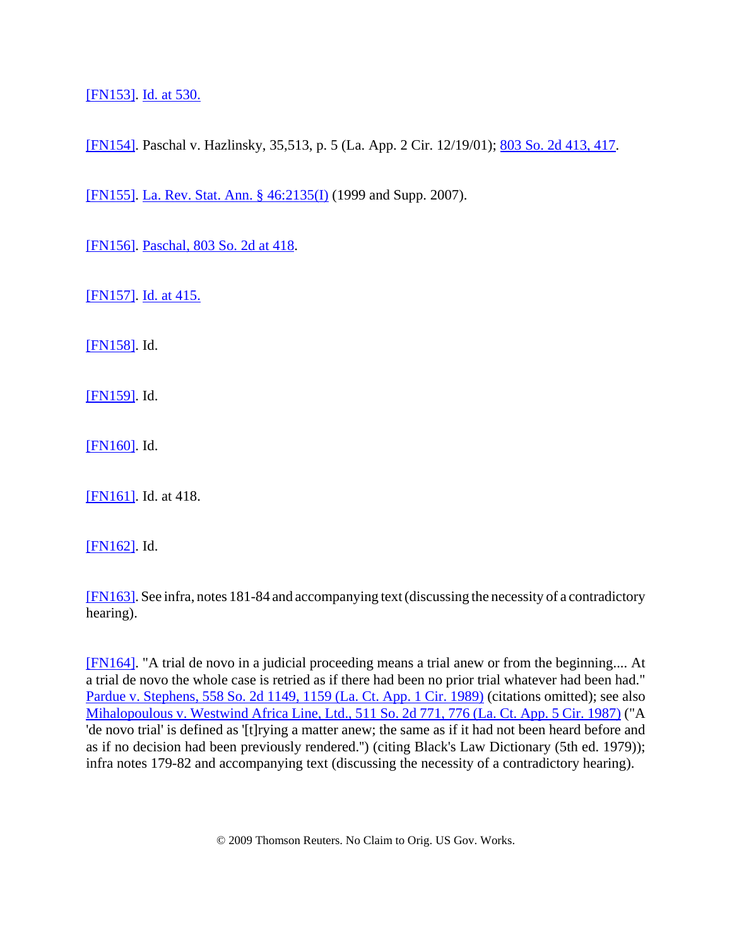[FN153]. Id. at 530.

[FN154]. Paschal v. Hazlinsky, 35,513, p. 5 (La. App. 2 Cir. 12/19/01); 803 So. 2d 413, 417.

[FN155]. La. Rev. Stat. Ann. § 46:2135(I) (1999 and Supp. 2007).

[FN156]. Paschal, 803 So. 2d at 418.

[FN157]. Id. at 415.

[FN158]. Id.

[FN159]. Id.

[FN160]. Id.

[FN161]. Id. at 418.

[FN162]. Id.

[FN163]. See infra, notes 181-84 and accompanying text (discussing the necessity of a contradictory hearing).

[FN164]. "A trial de novo in a judicial proceeding means a trial anew or from the beginning.... At a trial de novo the whole case is retried as if there had been no prior trial whatever had been had." Pardue v. Stephens, 558 So. 2d 1149, 1159 (La. Ct. App. 1 Cir. 1989) (citations omitted); see also Mihalopoulous v. Westwind Africa Line, Ltd., 511 So. 2d 771, 776 (La. Ct. App. 5 Cir. 1987) ("A 'de novo trial' is defined as '[t]rying a matter anew; the same as if it had not been heard before and as if no decision had been previously rendered.'') (citing Black's Law Dictionary (5th ed. 1979)); infra notes 179-82 and accompanying text (discussing the necessity of a contradictory hearing).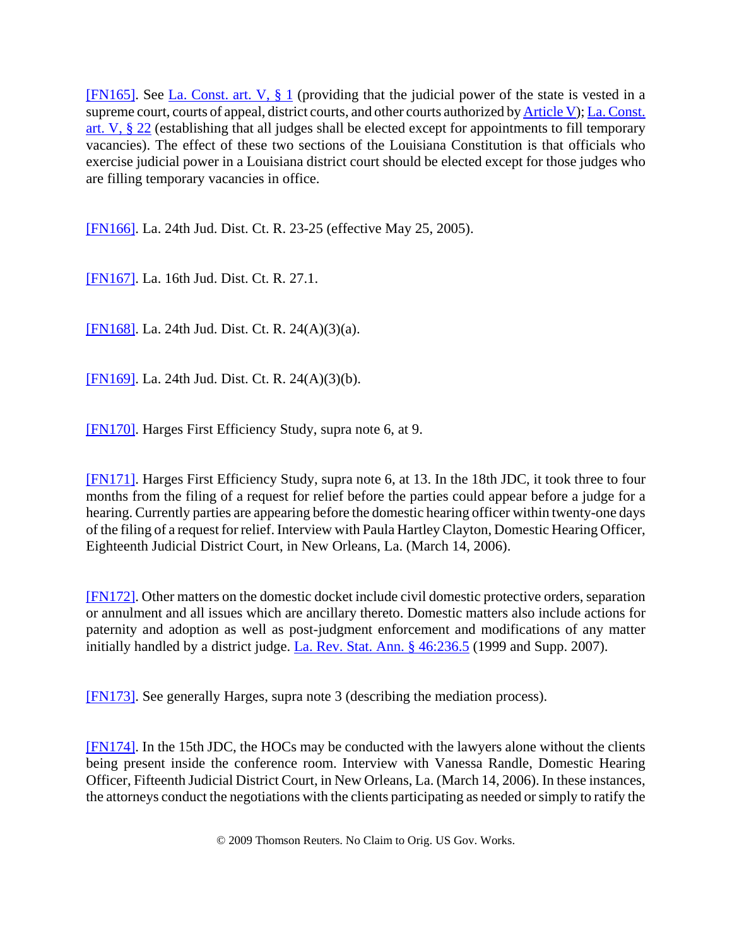[FN165]. See La. Const. art. V, § 1 (providing that the judicial power of the state is vested in a supreme court, courts of appeal, district courts, and other courts authorized by Article V); La. Const. art. V, § 22 (establishing that all judges shall be elected except for appointments to fill temporary vacancies). The effect of these two sections of the Louisiana Constitution is that officials who exercise judicial power in a Louisiana district court should be elected except for those judges who are filling temporary vacancies in office.

[FN166]. La. 24th Jud. Dist. Ct. R. 23-25 (effective May 25, 2005).

[FN167]. La. 16th Jud. Dist. Ct. R. 27.1.

[FN168]. La. 24th Jud. Dist. Ct. R. 24(A)(3)(a).

[FN169]. La. 24th Jud. Dist. Ct. R. 24(A)(3)(b).

[FN170]. Harges First Efficiency Study, supra note 6, at 9.

[FN171]. Harges First Efficiency Study, supra note 6, at 13. In the 18th JDC, it took three to four months from the filing of a request for relief before the parties could appear before a judge for a hearing. Currently parties are appearing before the domestic hearing officer within twenty-one days of the filing of a request for relief. Interview with Paula Hartley Clayton, Domestic Hearing Officer, Eighteenth Judicial District Court, in New Orleans, La. (March 14, 2006).

[FN172]. Other matters on the domestic docket include civil domestic protective orders, separation or annulment and all issues which are ancillary thereto. Domestic matters also include actions for paternity and adoption as well as post-judgment enforcement and modifications of any matter initially handled by a district judge. La. Rev. Stat. Ann. § 46:236.5 (1999 and Supp. 2007).

[FN173]. See generally Harges, supra note 3 (describing the mediation process).

[FN174]. In the 15th JDC, the HOCs may be conducted with the lawyers alone without the clients being present inside the conference room. Interview with Vanessa Randle, Domestic Hearing Officer, Fifteenth Judicial District Court, in New Orleans, La. (March 14, 2006). In these instances, the attorneys conduct the negotiations with the clients participating as needed or simply to ratify the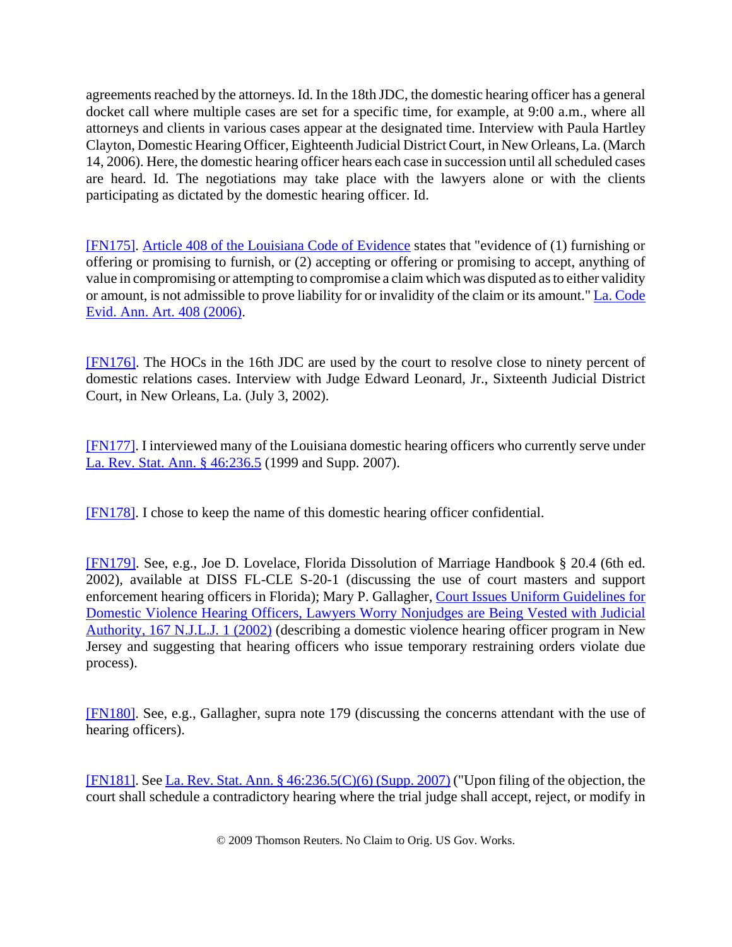agreements reached by the attorneys. Id. In the 18th JDC, the domestic hearing officer has a general docket call where multiple cases are set for a specific time, for example, at 9:00 a.m., where all attorneys and clients in various cases appear at the designated time. Interview with Paula Hartley Clayton, Domestic Hearing Officer, Eighteenth Judicial District Court, in New Orleans, La. (March 14, 2006). Here, the domestic hearing officer hears each case in succession until all scheduled cases are heard. Id. The negotiations may take place with the lawyers alone or with the clients participating as dictated by the domestic hearing officer. Id.

[FN175]. Article 408 of the Louisiana Code of Evidence states that "evidence of (1) furnishing or offering or promising to furnish, or (2) accepting or offering or promising to accept, anything of value in compromising or attempting to compromise a claim which was disputed as to either validity or amount, is not admissible to prove liability for or invalidity of the claim or its amount." La. Code Evid. Ann. Art. 408 (2006).

[FN176]. The HOCs in the 16th JDC are used by the court to resolve close to ninety percent of domestic relations cases. Interview with Judge Edward Leonard, Jr., Sixteenth Judicial District Court, in New Orleans, La. (July 3, 2002).

[FN177]. I interviewed many of the Louisiana domestic hearing officers who currently serve under La. Rev. Stat. Ann. § 46:236.5 (1999 and Supp. 2007).

[FN178]. I chose to keep the name of this domestic hearing officer confidential.

[FN179]. See, e.g., Joe D. Lovelace, Florida Dissolution of Marriage Handbook § 20.4 (6th ed. 2002), available at DISS FL-CLE S-20-1 (discussing the use of court masters and support enforcement hearing officers in Florida); Mary P. Gallagher, Court Issues Uniform Guidelines for Domestic Violence Hearing Officers, Lawyers Worry Nonjudges are Being Vested with Judicial Authority, 167 N.J.L.J. 1 (2002) (describing a domestic violence hearing officer program in New Jersey and suggesting that hearing officers who issue temporary restraining orders violate due process).

[FN180]. See, e.g., Gallagher, supra note 179 (discussing the concerns attendant with the use of hearing officers).

[FN181]. See La. Rev. Stat. Ann. § 46:236.5(C)(6) (Supp. 2007) ("Upon filing of the objection, the court shall schedule a contradictory hearing where the trial judge shall accept, reject, or modify in